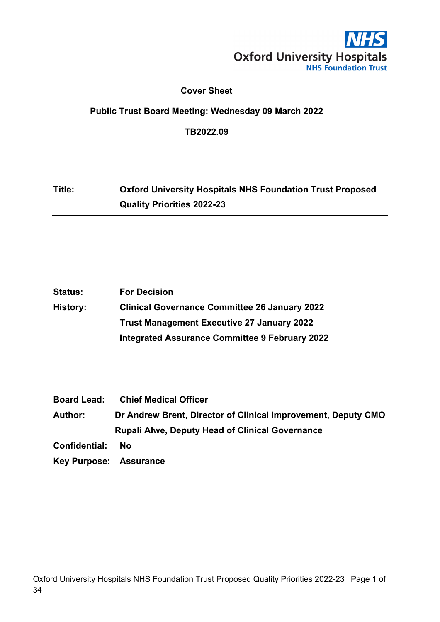

### **Cover Sheet**

## **Public Trust Board Meeting: Wednesday 09 March 2022**

**TB2022.09**

# **Title: Oxford University Hospitals NHS Foundation Trust Proposed Quality Priorities 2022-23**

| <b>Status:</b> | <b>For Decision</b>                                   |
|----------------|-------------------------------------------------------|
| History:       | <b>Clinical Governance Committee 26 January 2022</b>  |
|                | <b>Trust Management Executive 27 January 2022</b>     |
|                | <b>Integrated Assurance Committee 9 February 2022</b> |

| <b>Board Lead:</b>     | <b>Chief Medical Officer</b>                                  |
|------------------------|---------------------------------------------------------------|
| <b>Author:</b>         | Dr Andrew Brent, Director of Clinical Improvement, Deputy CMO |
|                        | <b>Rupali Alwe, Deputy Head of Clinical Governance</b>        |
| Confidential:          | Nο                                                            |
| Key Purpose: Assurance |                                                               |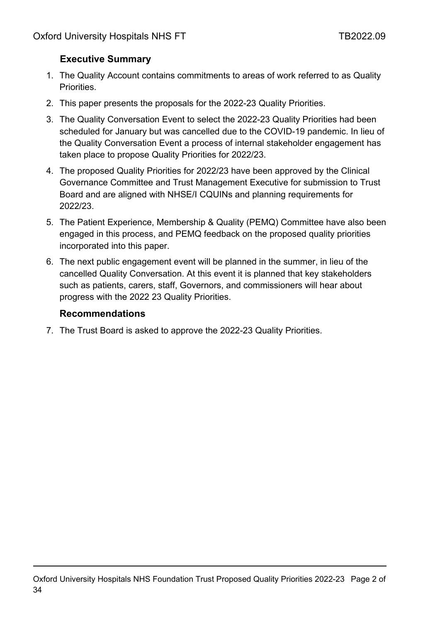# **Executive Summary**

- 1. The Quality Account contains commitments to areas of work referred to as Quality **Priorities**
- 2. This paper presents the proposals for the 2022-23 Quality Priorities.
- 3. The Quality Conversation Event to select the 2022-23 Quality Priorities had been scheduled for January but was cancelled due to the COVID-19 pandemic. In lieu of the Quality Conversation Event a process of internal stakeholder engagement has taken place to propose Quality Priorities for 2022/23.
- 4. The proposed Quality Priorities for 2022/23 have been approved by the Clinical Governance Committee and Trust Management Executive for submission to Trust Board and are aligned with NHSE/I CQUINs and planning requirements for 2022/23.
- 5. The Patient Experience, Membership & Quality (PEMQ) Committee have also been engaged in this process, and PEMQ feedback on the proposed quality priorities incorporated into this paper.
- 6. The next public engagement event will be planned in the summer, in lieu of the cancelled Quality Conversation. At this event it is planned that key stakeholders such as patients, carers, staff, Governors, and commissioners will hear about progress with the 2022 23 Quality Priorities.

### **Recommendations**

7. The Trust Board is asked to approve the 2022-23 Quality Priorities.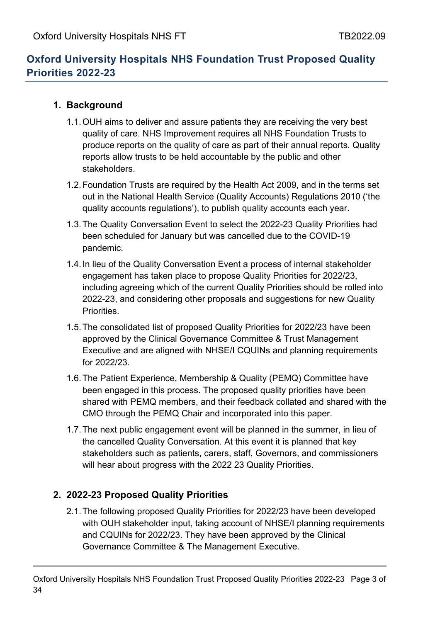# **Oxford University Hospitals NHS Foundation Trust Proposed Quality Priorities 2022-23**

## **1. Background**

- 1.1.OUH aims to deliver and assure patients they are receiving the very best quality of care. NHS Improvement requires all NHS Foundation Trusts to produce reports on the quality of care as part of their annual reports. Quality reports allow trusts to be held accountable by the public and other stakeholders.
- 1.2.Foundation Trusts are required by the Health Act 2009, and in the terms set out in the National Health Service (Quality Accounts) Regulations 2010 ('the quality accounts regulations'), to publish quality accounts each year.
- 1.3.The Quality Conversation Event to select the 2022-23 Quality Priorities had been scheduled for January but was cancelled due to the COVID-19 pandemic.
- 1.4.In lieu of the Quality Conversation Event a process of internal stakeholder engagement has taken place to propose Quality Priorities for 2022/23, including agreeing which of the current Quality Priorities should be rolled into 2022-23, and considering other proposals and suggestions for new Quality Priorities.
- 1.5.The consolidated list of proposed Quality Priorities for 2022/23 have been approved by the Clinical Governance Committee & Trust Management Executive and are aligned with NHSE/I CQUINs and planning requirements for 2022/23.
- 1.6.The Patient Experience, Membership & Quality (PEMQ) Committee have been engaged in this process. The proposed quality priorities have been shared with PEMQ members, and their feedback collated and shared with the CMO through the PEMQ Chair and incorporated into this paper.
- 1.7.The next public engagement event will be planned in the summer, in lieu of the cancelled Quality Conversation. At this event it is planned that key stakeholders such as patients, carers, staff, Governors, and commissioners will hear about progress with the 2022 23 Quality Priorities.

## **2. 2022-23 Proposed Quality Priorities**

2.1.The following proposed Quality Priorities for 2022/23 have been developed with OUH stakeholder input, taking account of NHSE/I planning requirements and CQUINs for 2022/23. They have been approved by the Clinical Governance Committee & The Management Executive.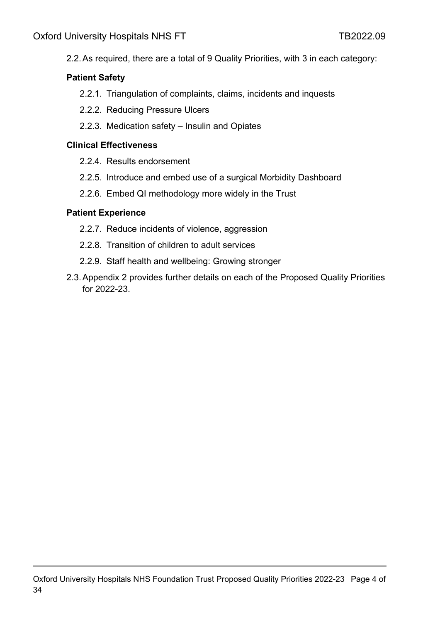2.2.As required, there are a total of 9 Quality Priorities, with 3 in each category:

### **Patient Safety**

- 2.2.1. Triangulation of complaints, claims, incidents and inquests
- 2.2.2. Reducing Pressure Ulcers
- 2.2.3. Medication safety Insulin and Opiates

### **Clinical Effectiveness**

- 2.2.4. Results endorsement
- 2.2.5. Introduce and embed use of a surgical Morbidity Dashboard
- 2.2.6. Embed QI methodology more widely in the Trust

### **Patient Experience**

- 2.2.7. Reduce incidents of violence, aggression
- 2.2.8. Transition of children to adult services
- 2.2.9. Staff health and wellbeing: Growing stronger
- 2.3.Appendix 2 provides further details on each of the Proposed Quality Priorities for 2022-23.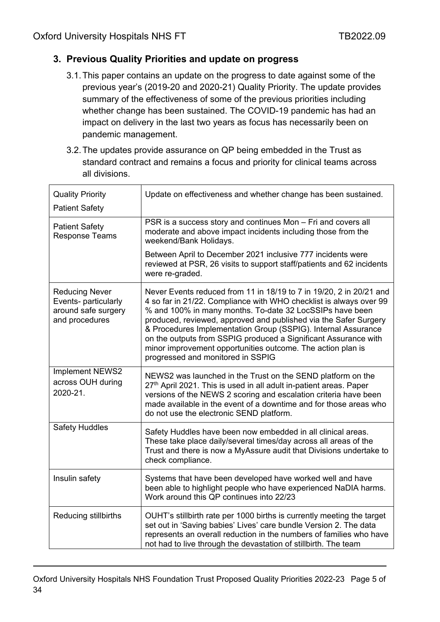## **3. Previous Quality Priorities and update on progress**

- 3.1.This paper contains an update on the progress to date against some of the previous year's (2019-20 and 2020-21) Quality Priority. The update provides summary of the effectiveness of some of the previous priorities including whether change has been sustained. The COVID-19 pandemic has had an impact on delivery in the last two years as focus has necessarily been on pandemic management.
- 3.2.The updates provide assurance on QP being embedded in the Trust as standard contract and remains a focus and priority for clinical teams across all divisions.

| <b>Quality Priority</b>                                                                | Update on effectiveness and whether change has been sustained.                                                                                                                                                                                                                                                                                                                                                                                                                                                    |
|----------------------------------------------------------------------------------------|-------------------------------------------------------------------------------------------------------------------------------------------------------------------------------------------------------------------------------------------------------------------------------------------------------------------------------------------------------------------------------------------------------------------------------------------------------------------------------------------------------------------|
| <b>Patient Safety</b>                                                                  |                                                                                                                                                                                                                                                                                                                                                                                                                                                                                                                   |
| <b>Patient Safety</b><br><b>Response Teams</b>                                         | PSR is a success story and continues Mon - Fri and covers all<br>moderate and above impact incidents including those from the<br>weekend/Bank Holidays.                                                                                                                                                                                                                                                                                                                                                           |
|                                                                                        | Between April to December 2021 inclusive 777 incidents were<br>reviewed at PSR, 26 visits to support staff/patients and 62 incidents<br>were re-graded.                                                                                                                                                                                                                                                                                                                                                           |
| <b>Reducing Never</b><br>Events- particularly<br>around safe surgery<br>and procedures | Never Events reduced from 11 in 18/19 to 7 in 19/20, 2 in 20/21 and<br>4 so far in 21/22. Compliance with WHO checklist is always over 99<br>% and 100% in many months. To-date 32 LocSSIPs have been<br>produced, reviewed, approved and published via the Safer Surgery<br>& Procedures Implementation Group (SSPIG). Internal Assurance<br>on the outputs from SSPIG produced a Significant Assurance with<br>minor improvement opportunities outcome. The action plan is<br>progressed and monitored in SSPIG |
| Implement NEWS2<br>across OUH during<br>2020-21.                                       | NEWS2 was launched in the Trust on the SEND platform on the<br>27 <sup>th</sup> April 2021. This is used in all adult in-patient areas. Paper<br>versions of the NEWS 2 scoring and escalation criteria have been<br>made available in the event of a downtime and for those areas who<br>do not use the electronic SEND platform.                                                                                                                                                                                |
| <b>Safety Huddles</b>                                                                  | Safety Huddles have been now embedded in all clinical areas.<br>These take place daily/several times/day across all areas of the<br>Trust and there is now a MyAssure audit that Divisions undertake to<br>check compliance.                                                                                                                                                                                                                                                                                      |
| Insulin safety                                                                         | Systems that have been developed have worked well and have<br>been able to highlight people who have experienced NaDIA harms.<br>Work around this QP continues into 22/23                                                                                                                                                                                                                                                                                                                                         |
| Reducing stillbirths                                                                   | OUHT's stillbirth rate per 1000 births is currently meeting the target<br>set out in 'Saving babies' Lives' care bundle Version 2. The data<br>represents an overall reduction in the numbers of families who have<br>not had to live through the devastation of stillbirth. The team                                                                                                                                                                                                                             |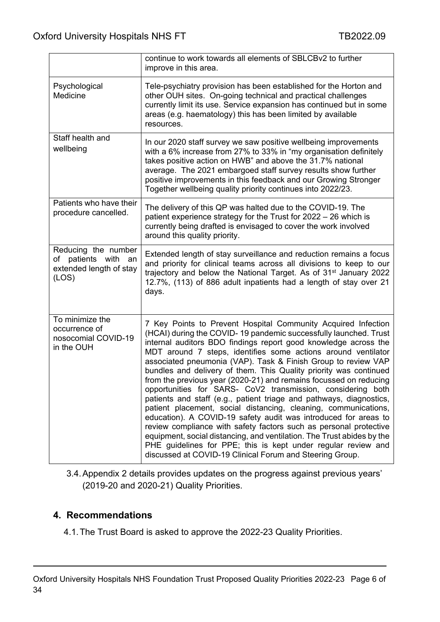|                                                                                | continue to work towards all elements of SBLCBv2 to further<br>improve in this area.                                                                                                                                                                                                                                                                                                                                                                                                                                                                                                                                                                                                                                                                                                                                                                                                                                                                                                                                                     |
|--------------------------------------------------------------------------------|------------------------------------------------------------------------------------------------------------------------------------------------------------------------------------------------------------------------------------------------------------------------------------------------------------------------------------------------------------------------------------------------------------------------------------------------------------------------------------------------------------------------------------------------------------------------------------------------------------------------------------------------------------------------------------------------------------------------------------------------------------------------------------------------------------------------------------------------------------------------------------------------------------------------------------------------------------------------------------------------------------------------------------------|
| Psychological<br>Medicine                                                      | Tele-psychiatry provision has been established for the Horton and<br>other OUH sites. On-going technical and practical challenges<br>currently limit its use. Service expansion has continued but in some<br>areas (e.g. haematology) this has been limited by available<br>resources.                                                                                                                                                                                                                                                                                                                                                                                                                                                                                                                                                                                                                                                                                                                                                   |
| Staff health and<br>wellbeing                                                  | In our 2020 staff survey we saw positive wellbeing improvements<br>with a 6% increase from 27% to 33% in "my organisation definitely<br>takes positive action on HWB" and above the 31.7% national<br>average. The 2021 embargoed staff survey results show further<br>positive improvements in this feedback and our Growing Stronger<br>Together wellbeing quality priority continues into 2022/23.                                                                                                                                                                                                                                                                                                                                                                                                                                                                                                                                                                                                                                    |
| Patients who have their<br>procedure cancelled.                                | The delivery of this QP was halted due to the COVID-19. The<br>patient experience strategy for the Trust for 2022 - 26 which is<br>currently being drafted is envisaged to cover the work involved<br>around this quality priority.                                                                                                                                                                                                                                                                                                                                                                                                                                                                                                                                                                                                                                                                                                                                                                                                      |
| Reducing the number<br>of patients with an<br>extended length of stay<br>(LOS) | Extended length of stay surveillance and reduction remains a focus<br>and priority for clinical teams across all divisions to keep to our<br>trajectory and below the National Target. As of 31 <sup>st</sup> January 2022<br>12.7%, (113) of 886 adult inpatients had a length of stay over 21<br>days.                                                                                                                                                                                                                                                                                                                                                                                                                                                                                                                                                                                                                                                                                                                                 |
| To minimize the<br>occurrence of<br>nosocomial COVID-19<br>in the OUH          | 7 Key Points to Prevent Hospital Community Acquired Infection<br>(HCAI) during the COVID-19 pandemic successfully launched. Trust<br>internal auditors BDO findings report good knowledge across the<br>MDT around 7 steps, identifies some actions around ventilator<br>associated pneumonia (VAP). Task & Finish Group to review VAP<br>bundles and delivery of them. This Quality priority was continued<br>from the previous year (2020-21) and remains focussed on reducing<br>opportunities for SARS- CoV2 transmission, considering both<br>patients and staff (e.g., patient triage and pathways, diagnostics,<br>patient placement, social distancing, cleaning, communications,<br>education). A COVID-19 safety audit was introduced for areas to<br>review compliance with safety factors such as personal protective<br>equipment, social distancing, and ventilation. The Trust abides by the<br>PHE guidelines for PPE; this is kept under regular review and<br>discussed at COVID-19 Clinical Forum and Steering Group. |

3.4.Appendix 2 details provides updates on the progress against previous years' (2019-20 and 2020-21) Quality Priorities.

## **4. Recommendations**

4.1.The Trust Board is asked to approve the 2022-23 Quality Priorities.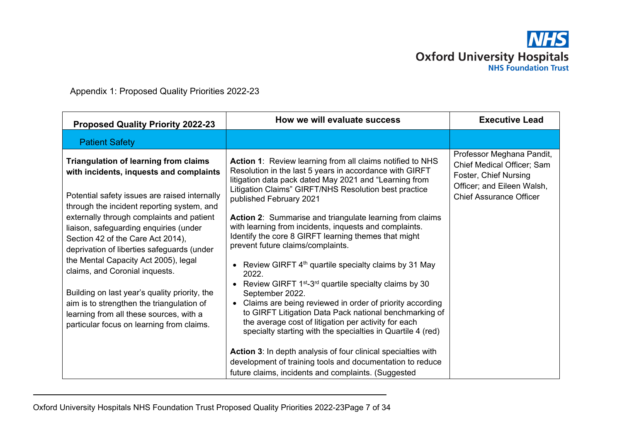

Appendix 1: Proposed Quality Priorities 2022-23

| <b>Proposed Quality Priority 2022-23</b>                                                                                                                                                                                                                                                                                                                                                                                                                                                                                                                                                                                         | How we will evaluate success                                                                                                                                                                                                                                                                                                                                                                                                                                                                                                                                                                                                                                                                                                                                                                                                                                                                                                                                                                                                                                                                                       | <b>Executive Lead</b>                                                                                                                            |
|----------------------------------------------------------------------------------------------------------------------------------------------------------------------------------------------------------------------------------------------------------------------------------------------------------------------------------------------------------------------------------------------------------------------------------------------------------------------------------------------------------------------------------------------------------------------------------------------------------------------------------|--------------------------------------------------------------------------------------------------------------------------------------------------------------------------------------------------------------------------------------------------------------------------------------------------------------------------------------------------------------------------------------------------------------------------------------------------------------------------------------------------------------------------------------------------------------------------------------------------------------------------------------------------------------------------------------------------------------------------------------------------------------------------------------------------------------------------------------------------------------------------------------------------------------------------------------------------------------------------------------------------------------------------------------------------------------------------------------------------------------------|--------------------------------------------------------------------------------------------------------------------------------------------------|
| <b>Patient Safety</b>                                                                                                                                                                                                                                                                                                                                                                                                                                                                                                                                                                                                            |                                                                                                                                                                                                                                                                                                                                                                                                                                                                                                                                                                                                                                                                                                                                                                                                                                                                                                                                                                                                                                                                                                                    |                                                                                                                                                  |
| <b>Triangulation of learning from claims</b><br>with incidents, inquests and complaints<br>Potential safety issues are raised internally<br>through the incident reporting system, and<br>externally through complaints and patient<br>liaison, safeguarding enquiries (under<br>Section 42 of the Care Act 2014),<br>deprivation of liberties safeguards (under<br>the Mental Capacity Act 2005), legal<br>claims, and Coronial inquests.<br>Building on last year's quality priority, the<br>aim is to strengthen the triangulation of<br>learning from all these sources, with a<br>particular focus on learning from claims. | <b>Action 1:</b> Review learning from all claims notified to NHS<br>Resolution in the last 5 years in accordance with GIRFT<br>litigation data pack dated May 2021 and "Learning from<br>Litigation Claims" GIRFT/NHS Resolution best practice<br>published February 2021<br><b>Action 2:</b> Summarise and triangulate learning from claims<br>with learning from incidents, inquests and complaints.<br>Identify the core 8 GIRFT learning themes that might<br>prevent future claims/complaints.<br>• Review GIRFT $4th$ quartile specialty claims by 31 May<br>2022.<br>• Review GIRFT $1^{st}$ -3 <sup>rd</sup> quartile specialty claims by 30<br>September 2022.<br>• Claims are being reviewed in order of priority according<br>to GIRFT Litigation Data Pack national benchmarking of<br>the average cost of litigation per activity for each<br>specialty starting with the specialties in Quartile 4 (red)<br><b>Action 3:</b> In depth analysis of four clinical specialties with<br>development of training tools and documentation to reduce<br>future claims, incidents and complaints. (Suggested | Professor Meghana Pandit,<br>Chief Medical Officer; Sam<br>Foster, Chief Nursing<br>Officer; and Eileen Walsh,<br><b>Chief Assurance Officer</b> |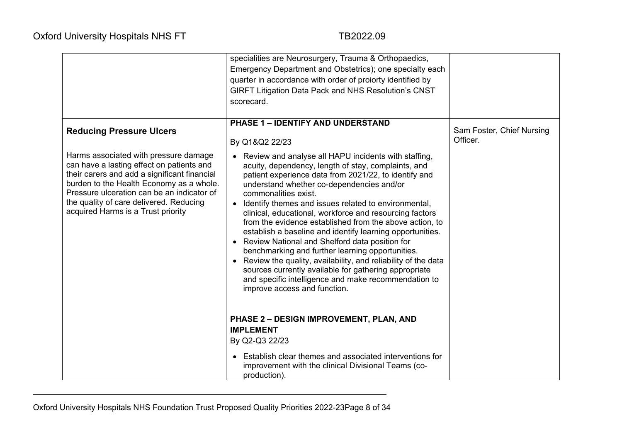|                                                                                                                                                                                                                                                                                                                                                  | specialities are Neurosurgery, Trauma & Orthopaedics,<br>Emergency Department and Obstetrics); one specialty each<br>quarter in accordance with order of proiorty identified by<br><b>GIRFT Litigation Data Pack and NHS Resolution's CNST</b><br>scorecard.                                                                                                                                                                                                                                                                                                                                                                                                                                                                                                                                                                                                                                  |                                       |
|--------------------------------------------------------------------------------------------------------------------------------------------------------------------------------------------------------------------------------------------------------------------------------------------------------------------------------------------------|-----------------------------------------------------------------------------------------------------------------------------------------------------------------------------------------------------------------------------------------------------------------------------------------------------------------------------------------------------------------------------------------------------------------------------------------------------------------------------------------------------------------------------------------------------------------------------------------------------------------------------------------------------------------------------------------------------------------------------------------------------------------------------------------------------------------------------------------------------------------------------------------------|---------------------------------------|
| <b>Reducing Pressure Ulcers</b><br>Harms associated with pressure damage<br>can have a lasting effect on patients and<br>their carers and add a significant financial<br>burden to the Health Economy as a whole.<br>Pressure ulceration can be an indicator of<br>the quality of care delivered. Reducing<br>acquired Harms is a Trust priority | PHASE 1 - IDENTIFY AND UNDERSTAND<br>By Q1&Q2 22/23<br>Review and analyse all HAPU incidents with staffing,<br>$\bullet$<br>acuity, dependency, length of stay, complaints, and<br>patient experience data from 2021/22, to identify and<br>understand whether co-dependencies and/or<br>commonalities exist.<br>Identify themes and issues related to environmental,<br>$\bullet$<br>clinical, educational, workforce and resourcing factors<br>from the evidence established from the above action, to<br>establish a baseline and identify learning opportunities.<br>Review National and Shelford data position for<br>benchmarking and further learning opportunities.<br>Review the quality, availability, and reliability of the data<br>sources currently available for gathering appropriate<br>and specific intelligence and make recommendation to<br>improve access and function. | Sam Foster, Chief Nursing<br>Officer. |
|                                                                                                                                                                                                                                                                                                                                                  | PHASE 2 - DESIGN IMPROVEMENT, PLAN, AND<br><b>IMPLEMENT</b><br>By Q2-Q3 22/23<br>Establish clear themes and associated interventions for<br>improvement with the clinical Divisional Teams (co-<br>production).                                                                                                                                                                                                                                                                                                                                                                                                                                                                                                                                                                                                                                                                               |                                       |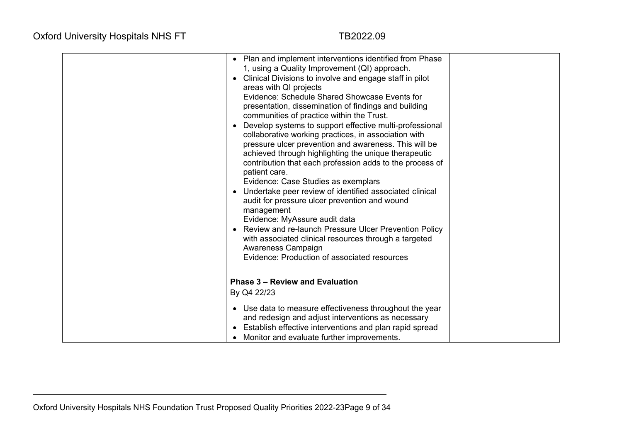| • Plan and implement interventions identified from Phase<br>1, using a Quality Improvement (QI) approach.<br>• Clinical Divisions to involve and engage staff in pilot<br>areas with QI projects<br>Evidence: Schedule Shared Showcase Events for<br>presentation, dissemination of findings and building<br>communities of practice within the Trust.<br>Develop systems to support effective multi-professional<br>collaborative working practices, in association with<br>pressure ulcer prevention and awareness. This will be<br>achieved through highlighting the unique therapeutic<br>contribution that each profession adds to the process of<br>patient care.<br>Evidence: Case Studies as exemplars<br>Undertake peer review of identified associated clinical<br>audit for pressure ulcer prevention and wound<br>management<br>Evidence: MyAssure audit data<br>• Review and re-launch Pressure Ulcer Prevention Policy<br>with associated clinical resources through a targeted<br>Awareness Campaign<br>Evidence: Production of associated resources |  |
|---------------------------------------------------------------------------------------------------------------------------------------------------------------------------------------------------------------------------------------------------------------------------------------------------------------------------------------------------------------------------------------------------------------------------------------------------------------------------------------------------------------------------------------------------------------------------------------------------------------------------------------------------------------------------------------------------------------------------------------------------------------------------------------------------------------------------------------------------------------------------------------------------------------------------------------------------------------------------------------------------------------------------------------------------------------------|--|
| <b>Phase 3 - Review and Evaluation</b>                                                                                                                                                                                                                                                                                                                                                                                                                                                                                                                                                                                                                                                                                                                                                                                                                                                                                                                                                                                                                              |  |
| By Q4 22/23                                                                                                                                                                                                                                                                                                                                                                                                                                                                                                                                                                                                                                                                                                                                                                                                                                                                                                                                                                                                                                                         |  |
| • Use data to measure effectiveness throughout the year<br>and redesign and adjust interventions as necessary                                                                                                                                                                                                                                                                                                                                                                                                                                                                                                                                                                                                                                                                                                                                                                                                                                                                                                                                                       |  |
| Establish effective interventions and plan rapid spread                                                                                                                                                                                                                                                                                                                                                                                                                                                                                                                                                                                                                                                                                                                                                                                                                                                                                                                                                                                                             |  |
| Monitor and evaluate further improvements.                                                                                                                                                                                                                                                                                                                                                                                                                                                                                                                                                                                                                                                                                                                                                                                                                                                                                                                                                                                                                          |  |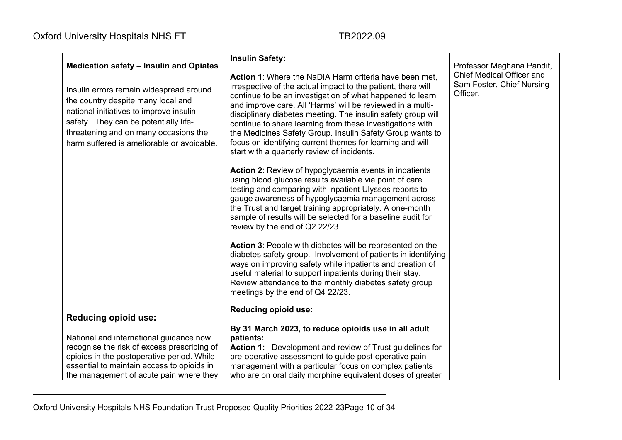| <b>Medication safety - Insulin and Opiates</b>                                                                                                                                                                                                           | <b>Insulin Safety:</b>                                                                                                                                                                                                                                                                                                                                                                                                                                                                                                                                  | Professor Meghana Pandit,                                          |
|----------------------------------------------------------------------------------------------------------------------------------------------------------------------------------------------------------------------------------------------------------|---------------------------------------------------------------------------------------------------------------------------------------------------------------------------------------------------------------------------------------------------------------------------------------------------------------------------------------------------------------------------------------------------------------------------------------------------------------------------------------------------------------------------------------------------------|--------------------------------------------------------------------|
| Insulin errors remain widespread around<br>the country despite many local and<br>national initiatives to improve insulin<br>safety. They can be potentially life-<br>threatening and on many occasions the<br>harm suffered is ameliorable or avoidable. | Action 1: Where the NaDIA Harm criteria have been met,<br>irrespective of the actual impact to the patient, there will<br>continue to be an investigation of what happened to learn<br>and improve care. All 'Harms' will be reviewed in a multi-<br>disciplinary diabetes meeting. The insulin safety group will<br>continue to share learning from these investigations with<br>the Medicines Safety Group. Insulin Safety Group wants to<br>focus on identifying current themes for learning and will<br>start with a quarterly review of incidents. | Chief Medical Officer and<br>Sam Foster, Chief Nursing<br>Officer. |
|                                                                                                                                                                                                                                                          | <b>Action 2:</b> Review of hypoglycaemia events in inpatients<br>using blood glucose results available via point of care<br>testing and comparing with inpatient Ulysses reports to<br>gauge awareness of hypoglycaemia management across<br>the Trust and target training appropriately. A one-month<br>sample of results will be selected for a baseline audit for<br>review by the end of Q2 22/23.                                                                                                                                                  |                                                                    |
|                                                                                                                                                                                                                                                          | Action 3: People with diabetes will be represented on the<br>diabetes safety group. Involvement of patients in identifying<br>ways on improving safety while inpatients and creation of<br>useful material to support inpatients during their stay.<br>Review attendance to the monthly diabetes safety group<br>meetings by the end of Q4 22/23.                                                                                                                                                                                                       |                                                                    |
|                                                                                                                                                                                                                                                          | <b>Reducing opioid use:</b>                                                                                                                                                                                                                                                                                                                                                                                                                                                                                                                             |                                                                    |
| <b>Reducing opioid use:</b>                                                                                                                                                                                                                              |                                                                                                                                                                                                                                                                                                                                                                                                                                                                                                                                                         |                                                                    |
| National and international guidance now                                                                                                                                                                                                                  | By 31 March 2023, to reduce opioids use in all adult<br>patients:                                                                                                                                                                                                                                                                                                                                                                                                                                                                                       |                                                                    |
| recognise the risk of excess prescribing of                                                                                                                                                                                                              | Action 1: Development and review of Trust guidelines for                                                                                                                                                                                                                                                                                                                                                                                                                                                                                                |                                                                    |
| opioids in the postoperative period. While                                                                                                                                                                                                               | pre-operative assessment to guide post-operative pain                                                                                                                                                                                                                                                                                                                                                                                                                                                                                                   |                                                                    |
| essential to maintain access to opioids in                                                                                                                                                                                                               | management with a particular focus on complex patients                                                                                                                                                                                                                                                                                                                                                                                                                                                                                                  |                                                                    |
| the management of acute pain where they                                                                                                                                                                                                                  | who are on oral daily morphine equivalent doses of greater                                                                                                                                                                                                                                                                                                                                                                                                                                                                                              |                                                                    |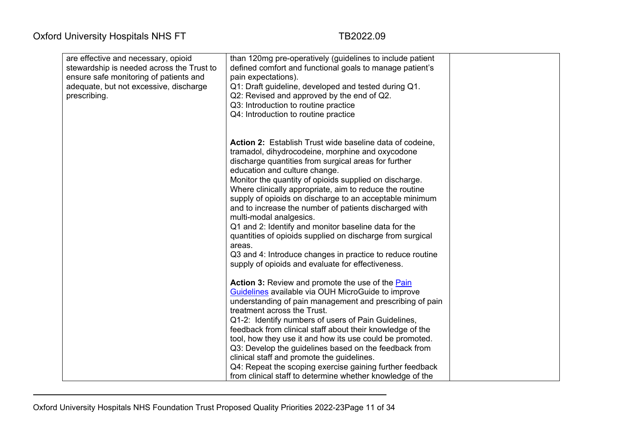| are effective and necessary, opioid<br>stewardship is needed across the Trust to<br>ensure safe monitoring of patients and<br>adequate, but not excessive, discharge<br>prescribing. | than 120mg pre-operatively (guidelines to include patient<br>defined comfort and functional goals to manage patient's<br>pain expectations).<br>Q1: Draft guideline, developed and tested during Q1.<br>Q2: Revised and approved by the end of Q2.                |  |
|--------------------------------------------------------------------------------------------------------------------------------------------------------------------------------------|-------------------------------------------------------------------------------------------------------------------------------------------------------------------------------------------------------------------------------------------------------------------|--|
|                                                                                                                                                                                      | Q3: Introduction to routine practice<br>Q4: Introduction to routine practice                                                                                                                                                                                      |  |
|                                                                                                                                                                                      | Action 2: Establish Trust wide baseline data of codeine,<br>tramadol, dihydrocodeine, morphine and oxycodone<br>discharge quantities from surgical areas for further<br>education and culture change.                                                             |  |
|                                                                                                                                                                                      | Monitor the quantity of opioids supplied on discharge.<br>Where clinically appropriate, aim to reduce the routine<br>supply of opioids on discharge to an acceptable minimum<br>and to increase the number of patients discharged with<br>multi-modal analgesics. |  |
|                                                                                                                                                                                      | Q1 and 2: Identify and monitor baseline data for the<br>quantities of opioids supplied on discharge from surgical<br>areas.<br>Q3 and 4: Introduce changes in practice to reduce routine<br>supply of opioids and evaluate for effectiveness.                     |  |
|                                                                                                                                                                                      | <b>Action 3:</b> Review and promote the use of the <b>Pain</b><br>Guidelines available via OUH MicroGuide to improve<br>understanding of pain management and prescribing of pain<br>treatment across the Trust.                                                   |  |
|                                                                                                                                                                                      | Q1-2: Identify numbers of users of Pain Guidelines,<br>feedback from clinical staff about their knowledge of the<br>tool, how they use it and how its use could be promoted.                                                                                      |  |
|                                                                                                                                                                                      | Q3: Develop the guidelines based on the feedback from<br>clinical staff and promote the guidelines.<br>Q4: Repeat the scoping exercise gaining further feedback<br>from clinical staff to determine whether knowledge of the                                      |  |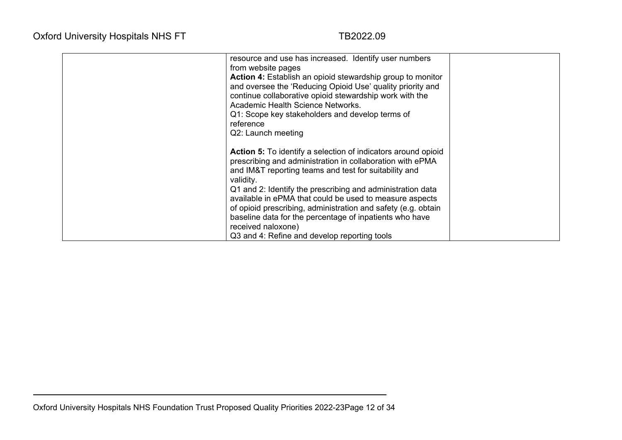| resource and use has increased. Identify user numbers<br>from website pages<br><b>Action 4:</b> Establish an opioid stewardship group to monitor<br>and oversee the 'Reducing Opioid Use' quality priority and<br>continue collaborative opioid stewardship work with the<br>Academic Health Science Networks.<br>Q1: Scope key stakeholders and develop terms of<br>reference<br>Q2: Launch meeting                                                                                                                               |  |
|------------------------------------------------------------------------------------------------------------------------------------------------------------------------------------------------------------------------------------------------------------------------------------------------------------------------------------------------------------------------------------------------------------------------------------------------------------------------------------------------------------------------------------|--|
| <b>Action 5:</b> To identify a selection of indicators around opioid<br>prescribing and administration in collaboration with ePMA<br>and IM&T reporting teams and test for suitability and<br>validity.<br>Q1 and 2: Identify the prescribing and administration data<br>available in ePMA that could be used to measure aspects<br>of opioid prescribing, administration and safety (e.g. obtain<br>baseline data for the percentage of inpatients who have<br>received naloxone)<br>Q3 and 4: Refine and develop reporting tools |  |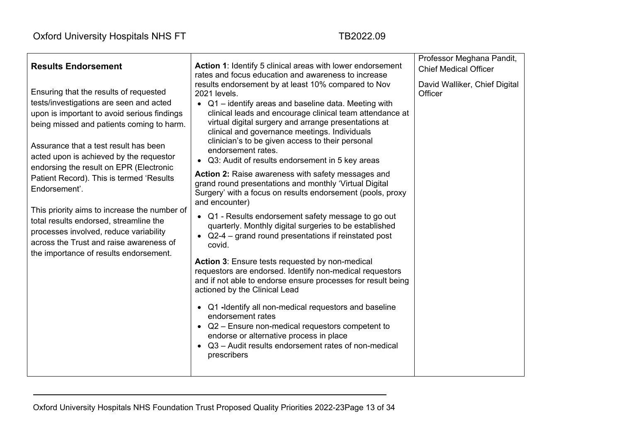|                                                                                                                                                                                                                                                                                                                                                                                                                                                                                                                                                                                                    |                                                                                                                                                                                                                                                                                                                                                                                                                                                                                                                                                                                                                                                                                                                                                                                                                                                                                                                                                                                                                                                                                                                                                                                                                                                                                                      | Professor Meghana Pandit,                |
|----------------------------------------------------------------------------------------------------------------------------------------------------------------------------------------------------------------------------------------------------------------------------------------------------------------------------------------------------------------------------------------------------------------------------------------------------------------------------------------------------------------------------------------------------------------------------------------------------|------------------------------------------------------------------------------------------------------------------------------------------------------------------------------------------------------------------------------------------------------------------------------------------------------------------------------------------------------------------------------------------------------------------------------------------------------------------------------------------------------------------------------------------------------------------------------------------------------------------------------------------------------------------------------------------------------------------------------------------------------------------------------------------------------------------------------------------------------------------------------------------------------------------------------------------------------------------------------------------------------------------------------------------------------------------------------------------------------------------------------------------------------------------------------------------------------------------------------------------------------------------------------------------------------|------------------------------------------|
| <b>Results Endorsement</b>                                                                                                                                                                                                                                                                                                                                                                                                                                                                                                                                                                         | <b>Action 1: Identify 5 clinical areas with lower endorsement</b><br>rates and focus education and awareness to increase                                                                                                                                                                                                                                                                                                                                                                                                                                                                                                                                                                                                                                                                                                                                                                                                                                                                                                                                                                                                                                                                                                                                                                             | <b>Chief Medical Officer</b>             |
| Ensuring that the results of requested<br>tests/investigations are seen and acted<br>upon is important to avoid serious findings<br>being missed and patients coming to harm.<br>Assurance that a test result has been<br>acted upon is achieved by the requestor<br>endorsing the result on EPR (Electronic<br>Patient Record). This is termed 'Results<br>Endorsement'.<br>This priority aims to increase the number of<br>total results endorsed, streamline the<br>processes involved, reduce variability<br>across the Trust and raise awareness of<br>the importance of results endorsement. | results endorsement by at least 10% compared to Nov<br>2021 levels.<br>• Q1 - identify areas and baseline data. Meeting with<br>clinical leads and encourage clinical team attendance at<br>virtual digital surgery and arrange presentations at<br>clinical and governance meetings. Individuals<br>clinician's to be given access to their personal<br>endorsement rates.<br>• Q3: Audit of results endorsement in 5 key areas<br>Action 2: Raise awareness with safety messages and<br>grand round presentations and monthly 'Virtual Digital<br>Surgery' with a focus on results endorsement (pools, proxy<br>and encounter)<br>• Q1 - Results endorsement safety message to go out<br>quarterly. Monthly digital surgeries to be established<br>• $Q2-4$ – grand round presentations if reinstated post<br>covid.<br><b>Action 3: Ensure tests requested by non-medical</b><br>requestors are endorsed. Identify non-medical requestors<br>and if not able to endorse ensure processes for result being<br>actioned by the Clinical Lead<br>• Q1 -Identify all non-medical requestors and baseline<br>endorsement rates<br>• Q2 - Ensure non-medical requestors competent to<br>endorse or alternative process in place<br>• Q3 – Audit results endorsement rates of non-medical<br>prescribers | David Walliker, Chief Digital<br>Officer |
|                                                                                                                                                                                                                                                                                                                                                                                                                                                                                                                                                                                                    |                                                                                                                                                                                                                                                                                                                                                                                                                                                                                                                                                                                                                                                                                                                                                                                                                                                                                                                                                                                                                                                                                                                                                                                                                                                                                                      |                                          |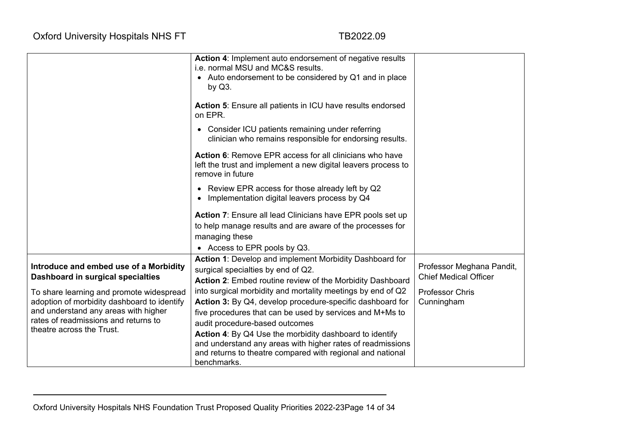|                                             | Action 4: Implement auto endorsement of negative results<br>i.e. normal MSU and MC&S results.                                                |                              |
|---------------------------------------------|----------------------------------------------------------------------------------------------------------------------------------------------|------------------------------|
|                                             | • Auto endorsement to be considered by Q1 and in place<br>by $Q3$ .                                                                          |                              |
|                                             | Action 5: Ensure all patients in ICU have results endorsed<br>on EPR.                                                                        |                              |
|                                             | Consider ICU patients remaining under referring<br>$\bullet$<br>clinician who remains responsible for endorsing results.                     |                              |
|                                             | Action 6: Remove EPR access for all clinicians who have<br>left the trust and implement a new digital leavers process to<br>remove in future |                              |
|                                             | • Review EPR access for those already left by Q2<br>Implementation digital leavers process by Q4                                             |                              |
|                                             | <b>Action 7:</b> Ensure all lead Clinicians have EPR pools set up                                                                            |                              |
|                                             | to help manage results and are aware of the processes for                                                                                    |                              |
|                                             | managing these                                                                                                                               |                              |
|                                             | • Access to EPR pools by Q3.                                                                                                                 |                              |
|                                             | Action 1: Develop and implement Morbidity Dashboard for                                                                                      |                              |
| Introduce and embed use of a Morbidity      | surgical specialties by end of Q2.                                                                                                           | Professor Meghana Pandit,    |
| Dashboard in surgical specialties           | Action 2: Embed routine review of the Morbidity Dashboard                                                                                    | <b>Chief Medical Officer</b> |
| To share learning and promote widespread    | into surgical morbidity and mortality meetings by end of Q2                                                                                  | <b>Professor Chris</b>       |
| adoption of morbidity dashboard to identify | Action 3: By Q4, develop procedure-specific dashboard for                                                                                    | Cunningham                   |
| and understand any areas with higher        | five procedures that can be used by services and M+Ms to                                                                                     |                              |
| rates of readmissions and returns to        | audit procedure-based outcomes                                                                                                               |                              |
| theatre across the Trust.                   | Action 4: By Q4 Use the morbidity dashboard to identify                                                                                      |                              |
|                                             | and understand any areas with higher rates of readmissions                                                                                   |                              |
|                                             | and returns to theatre compared with regional and national                                                                                   |                              |
|                                             | benchmarks.                                                                                                                                  |                              |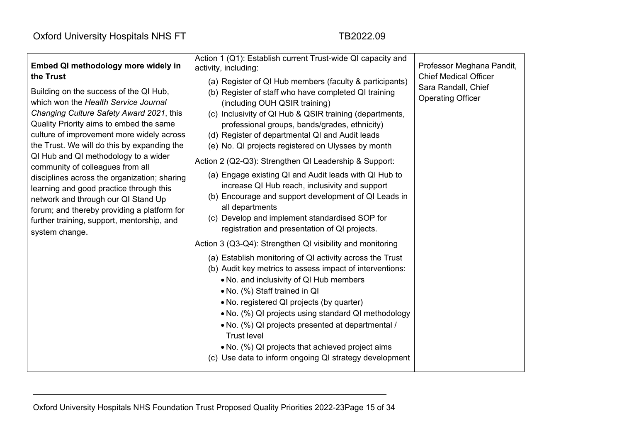| Embed QI methodology more widely in<br>the Trust<br>Building on the success of the QI Hub,<br>which won the Health Service Journal<br>Changing Culture Safety Award 2021, this<br>Quality Priority aims to embed the same<br>culture of improvement more widely across<br>the Trust. We will do this by expanding the<br>QI Hub and QI methodology to a wider<br>community of colleagues from all<br>disciplines across the organization; sharing<br>learning and good practice through this<br>network and through our QI Stand Up | Action 1 (Q1): Establish current Trust-wide QI capacity and<br>activity, including:<br>(a) Register of QI Hub members (faculty & participants)<br>(b) Register of staff who have completed QI training<br>(including OUH QSIR training)<br>(c) Inclusivity of QI Hub & QSIR training (departments,<br>professional groups, bands/grades, ethnicity)<br>(d) Register of departmental QI and Audit leads<br>(e) No. QI projects registered on Ulysses by month<br>Action 2 (Q2-Q3): Strengthen QI Leadership & Support:<br>(a) Engage existing QI and Audit leads with QI Hub to<br>increase QI Hub reach, inclusivity and support<br>(b) Encourage and support development of QI Leads in<br>all departments | Professor Meghana Pandit,<br><b>Chief Medical Officer</b><br>Sara Randall, Chief<br><b>Operating Officer</b> |
|-------------------------------------------------------------------------------------------------------------------------------------------------------------------------------------------------------------------------------------------------------------------------------------------------------------------------------------------------------------------------------------------------------------------------------------------------------------------------------------------------------------------------------------|-------------------------------------------------------------------------------------------------------------------------------------------------------------------------------------------------------------------------------------------------------------------------------------------------------------------------------------------------------------------------------------------------------------------------------------------------------------------------------------------------------------------------------------------------------------------------------------------------------------------------------------------------------------------------------------------------------------|--------------------------------------------------------------------------------------------------------------|
| forum; and thereby providing a platform for<br>further training, support, mentorship, and<br>system change.                                                                                                                                                                                                                                                                                                                                                                                                                         | (c) Develop and implement standardised SOP for<br>registration and presentation of QI projects.<br>Action 3 (Q3-Q4): Strengthen QI visibility and monitoring<br>(a) Establish monitoring of QI activity across the Trust<br>(b) Audit key metrics to assess impact of interventions:<br>• No. and inclusivity of QI Hub members<br>• No. (%) Staff trained in QI<br>• No. registered QI projects (by quarter)<br>• No. (%) QI projects using standard QI methodology                                                                                                                                                                                                                                        |                                                                                                              |
|                                                                                                                                                                                                                                                                                                                                                                                                                                                                                                                                     | • No. (%) QI projects presented at departmental /<br><b>Trust level</b><br>• No. (%) QI projects that achieved project aims<br>(c) Use data to inform ongoing QI strategy development                                                                                                                                                                                                                                                                                                                                                                                                                                                                                                                       |                                                                                                              |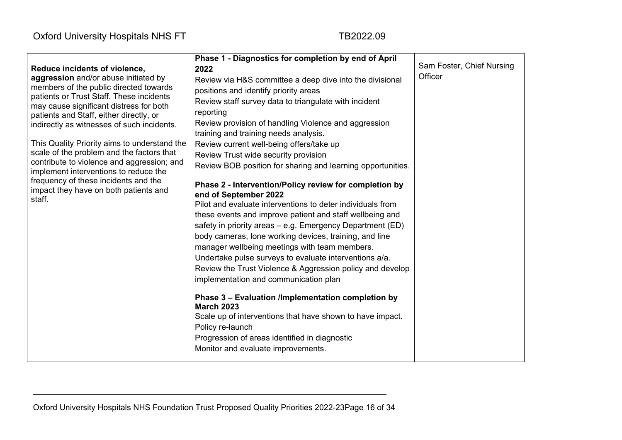|                                                                                     | Phase 1 - Diagnostics for completion by end of April        |                                      |
|-------------------------------------------------------------------------------------|-------------------------------------------------------------|--------------------------------------|
| Reduce incidents of violence,                                                       | 2022                                                        | Sam Foster, Chief Nursing<br>Officer |
| aggression and/or abuse initiated by                                                | Review via H&S committee a deep dive into the divisional    |                                      |
| members of the public directed towards<br>patients or Trust Staff. These incidents  | positions and identify priority areas                       |                                      |
| may cause significant distress for both                                             | Review staff survey data to triangulate with incident       |                                      |
| patients and Staff, either directly, or                                             | reporting                                                   |                                      |
| indirectly as witnesses of such incidents.                                          | Review provision of handling Violence and aggression        |                                      |
|                                                                                     | training and training needs analysis.                       |                                      |
| This Quality Priority aims to understand the                                        | Review current well-being offers/take up                    |                                      |
| scale of the problem and the factors that                                           | Review Trust wide security provision                        |                                      |
| contribute to violence and aggression; and<br>implement interventions to reduce the | Review BOB position for sharing and learning opportunities. |                                      |
| frequency of these incidents and the                                                | Phase 2 - Intervention/Policy review for completion by      |                                      |
| impact they have on both patients and<br>staff.                                     | end of September 2022                                       |                                      |
|                                                                                     | Pilot and evaluate interventions to deter individuals from  |                                      |
|                                                                                     | these events and improve patient and staff wellbeing and    |                                      |
|                                                                                     | safety in priority areas - e.g. Emergency Department (ED)   |                                      |
|                                                                                     | body cameras, lone working devices, training, and line      |                                      |
|                                                                                     | manager wellbeing meetings with team members.               |                                      |
|                                                                                     | Undertake pulse surveys to evaluate interventions a/a.      |                                      |
|                                                                                     | Review the Trust Violence & Aggression policy and develop   |                                      |
|                                                                                     | implementation and communication plan                       |                                      |
|                                                                                     | Phase 3 - Evaluation /Implementation completion by          |                                      |
|                                                                                     | <b>March 2023</b>                                           |                                      |
|                                                                                     | Scale up of interventions that have shown to have impact.   |                                      |
|                                                                                     | Policy re-launch                                            |                                      |
|                                                                                     | Progression of areas identified in diagnostic               |                                      |
|                                                                                     | Monitor and evaluate improvements.                          |                                      |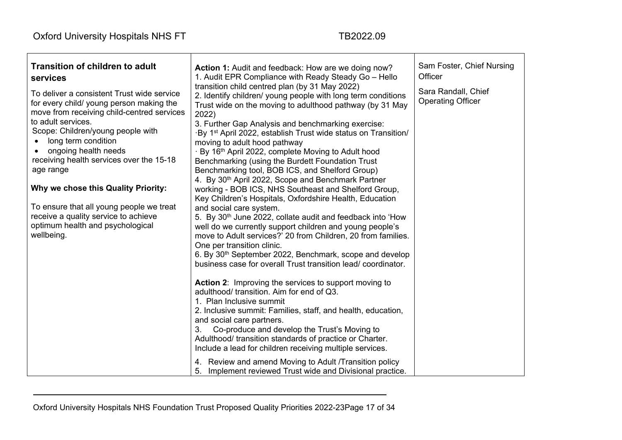| <b>Transition of children to adult</b><br>services<br>To deliver a consistent Trust wide service<br>for every child/ young person making the<br>move from receiving child-centred services<br>to adult services.<br>Scope: Children/young people with<br>long term condition<br>ongoing health needs<br>receiving health services over the 15-18<br>age range<br>Why we chose this Quality Priority:<br>To ensure that all young people we treat<br>receive a quality service to achieve<br>optimum health and psychological<br>wellbeing. | Action 1: Audit and feedback: How are we doing now?<br>1. Audit EPR Compliance with Ready Steady Go - Hello<br>transition child centred plan (by 31 May 2022)<br>2. Identify children/ young people with long term conditions<br>Trust wide on the moving to adulthood pathway (by 31 May<br>2022)<br>3. Further Gap Analysis and benchmarking exercise:<br>By 1 <sup>st</sup> April 2022, establish Trust wide status on Transition/<br>moving to adult hood pathway<br>By 16th April 2022, complete Moving to Adult hood<br>Benchmarking (using the Burdett Foundation Trust<br>Benchmarking tool, BOB ICS, and Shelford Group)<br>4. By 30 <sup>th</sup> April 2022, Scope and Benchmark Partner<br>working - BOB ICS, NHS Southeast and Shelford Group,<br>Key Children's Hospitals, Oxfordshire Health, Education<br>and social care system.<br>5. By 30 <sup>th</sup> June 2022, collate audit and feedback into 'How<br>well do we currently support children and young people's<br>move to Adult services?' 20 from Children, 20 from families.<br>One per transition clinic.<br>6. By 30 <sup>th</sup> September 2022, Benchmark, scope and develop<br>business case for overall Trust transition lead/coordinator.<br><b>Action 2:</b> Improving the services to support moving to<br>adulthood/ transition. Aim for end of Q3.<br>1. Plan Inclusive summit<br>2. Inclusive summit: Families, staff, and health, education,<br>and social care partners.<br>3.<br>Co-produce and develop the Trust's Moving to<br>Adulthood/ transition standards of practice or Charter.<br>Include a lead for children receiving multiple services.<br>4. Review and amend Moving to Adult /Transition policy<br>5. Implement reviewed Trust wide and Divisional practice. | Sam Foster, Chief Nursing<br>Officer<br>Sara Randall, Chief<br><b>Operating Officer</b> |
|--------------------------------------------------------------------------------------------------------------------------------------------------------------------------------------------------------------------------------------------------------------------------------------------------------------------------------------------------------------------------------------------------------------------------------------------------------------------------------------------------------------------------------------------|------------------------------------------------------------------------------------------------------------------------------------------------------------------------------------------------------------------------------------------------------------------------------------------------------------------------------------------------------------------------------------------------------------------------------------------------------------------------------------------------------------------------------------------------------------------------------------------------------------------------------------------------------------------------------------------------------------------------------------------------------------------------------------------------------------------------------------------------------------------------------------------------------------------------------------------------------------------------------------------------------------------------------------------------------------------------------------------------------------------------------------------------------------------------------------------------------------------------------------------------------------------------------------------------------------------------------------------------------------------------------------------------------------------------------------------------------------------------------------------------------------------------------------------------------------------------------------------------------------------------------------------------------------------------------------------------------------------------------------------------------------------------|-----------------------------------------------------------------------------------------|
|--------------------------------------------------------------------------------------------------------------------------------------------------------------------------------------------------------------------------------------------------------------------------------------------------------------------------------------------------------------------------------------------------------------------------------------------------------------------------------------------------------------------------------------------|------------------------------------------------------------------------------------------------------------------------------------------------------------------------------------------------------------------------------------------------------------------------------------------------------------------------------------------------------------------------------------------------------------------------------------------------------------------------------------------------------------------------------------------------------------------------------------------------------------------------------------------------------------------------------------------------------------------------------------------------------------------------------------------------------------------------------------------------------------------------------------------------------------------------------------------------------------------------------------------------------------------------------------------------------------------------------------------------------------------------------------------------------------------------------------------------------------------------------------------------------------------------------------------------------------------------------------------------------------------------------------------------------------------------------------------------------------------------------------------------------------------------------------------------------------------------------------------------------------------------------------------------------------------------------------------------------------------------------------------------------------------------|-----------------------------------------------------------------------------------------|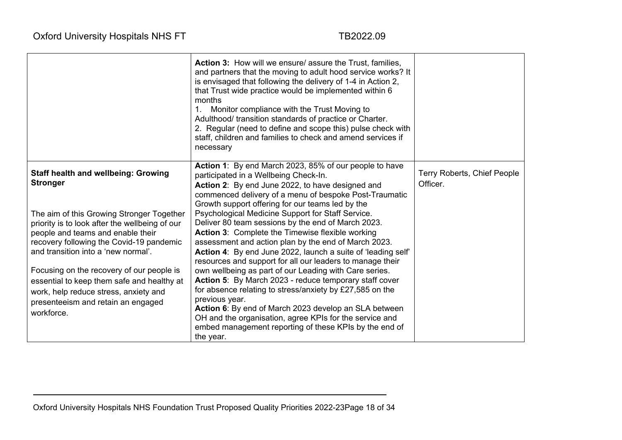|                                                                                                                                                                                                                     | <b>Action 3:</b> How will we ensure/ assure the Trust, families,<br>and partners that the moving to adult hood service works? It<br>is envisaged that following the delivery of 1-4 in Action 2,<br>that Trust wide practice would be implemented within 6<br>months<br>Monitor compliance with the Trust Moving to<br>1.<br>Adulthood/ transition standards of practice or Charter.<br>2. Regular (need to define and scope this) pulse check with<br>staff, children and families to check and amend services if<br>necessary |                                         |
|---------------------------------------------------------------------------------------------------------------------------------------------------------------------------------------------------------------------|---------------------------------------------------------------------------------------------------------------------------------------------------------------------------------------------------------------------------------------------------------------------------------------------------------------------------------------------------------------------------------------------------------------------------------------------------------------------------------------------------------------------------------|-----------------------------------------|
| <b>Staff health and wellbeing: Growing</b><br><b>Stronger</b>                                                                                                                                                       | Action 1: By end March 2023, 85% of our people to have<br>participated in a Wellbeing Check-In.<br>Action 2: By end June 2022, to have designed and<br>commenced delivery of a menu of bespoke Post-Traumatic<br>Growth support offering for our teams led by the                                                                                                                                                                                                                                                               | Terry Roberts, Chief People<br>Officer. |
| The aim of this Growing Stronger Together<br>priority is to look after the wellbeing of our<br>people and teams and enable their<br>recovery following the Covid-19 pandemic<br>and transition into a 'new normal'. | Psychological Medicine Support for Staff Service.<br>Deliver 80 team sessions by the end of March 2023.<br>Action 3: Complete the Timewise flexible working<br>assessment and action plan by the end of March 2023.<br>Action 4: By end June 2022, launch a suite of 'leading self'<br>resources and support for all our leaders to manage their                                                                                                                                                                                |                                         |
| Focusing on the recovery of our people is<br>essential to keep them safe and healthy at<br>work, help reduce stress, anxiety and<br>presenteeism and retain an engaged<br>workforce.                                | own wellbeing as part of our Leading with Care series.<br>Action 5: By March 2023 - reduce temporary staff cover<br>for absence relating to stress/anxiety by £27,585 on the<br>previous year.<br>Action 6: By end of March 2023 develop an SLA between<br>OH and the organisation, agree KPIs for the service and<br>embed management reporting of these KPIs by the end of<br>the year.                                                                                                                                       |                                         |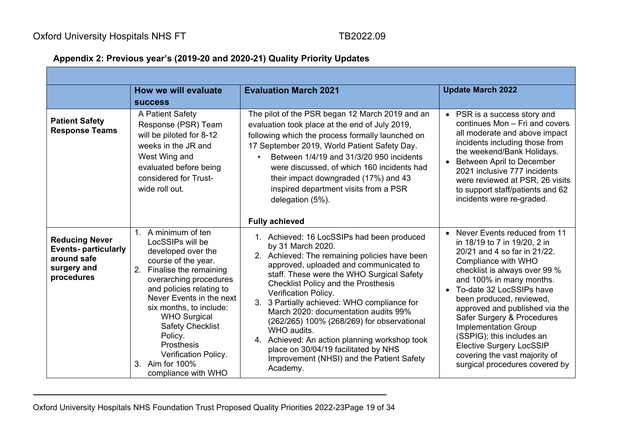## **Appendix 2: Previous year's (2019-20 and 2020-21) Quality Priority Updates**

|                                                                                                 | How we will evaluate                                                                                                                                                                                                                                                                                                                                                                  | <b>Evaluation March 2021</b>                                                                                                                                                                                                                                                                                                                                                                                                                                                                                                                                                                                 | <b>Update March 2022</b>                                                                                                                                                                                                                                                                                                                                                                                                                                                     |
|-------------------------------------------------------------------------------------------------|---------------------------------------------------------------------------------------------------------------------------------------------------------------------------------------------------------------------------------------------------------------------------------------------------------------------------------------------------------------------------------------|--------------------------------------------------------------------------------------------------------------------------------------------------------------------------------------------------------------------------------------------------------------------------------------------------------------------------------------------------------------------------------------------------------------------------------------------------------------------------------------------------------------------------------------------------------------------------------------------------------------|------------------------------------------------------------------------------------------------------------------------------------------------------------------------------------------------------------------------------------------------------------------------------------------------------------------------------------------------------------------------------------------------------------------------------------------------------------------------------|
|                                                                                                 | <b>SUCCESS</b>                                                                                                                                                                                                                                                                                                                                                                        |                                                                                                                                                                                                                                                                                                                                                                                                                                                                                                                                                                                                              |                                                                                                                                                                                                                                                                                                                                                                                                                                                                              |
| <b>Patient Safety</b><br><b>Response Teams</b>                                                  | A Patient Safety<br>Response (PSR) Team<br>will be piloted for 8-12<br>weeks in the JR and<br>West Wing and<br>evaluated before being<br>considered for Trust-<br>wide roll out.                                                                                                                                                                                                      | The pilot of the PSR began 12 March 2019 and an<br>evaluation took place at the end of July 2019,<br>following which the process formally launched on<br>17 September 2019, World Patient Safety Day.<br>Between 1/4/19 and 31/3/20 950 incidents<br>were discussed, of which 160 incidents had<br>their impact downgraded (17%) and 43<br>inspired department visits from a PSR<br>delegation (5%).                                                                                                                                                                                                         | • PSR is a success story and<br>continues Mon - Fri and covers<br>all moderate and above impact<br>incidents including those from<br>the weekend/Bank Holidays.<br><b>Between April to December</b><br>2021 inclusive 777 incidents<br>were reviewed at PSR, 26 visits<br>to support staff/patients and 62<br>incidents were re-graded.                                                                                                                                      |
| <b>Reducing Never</b><br><b>Events-particularly</b><br>around safe<br>surgery and<br>procedures | 1. A minimum of ten<br>LocSSIPs will be<br>developed over the<br>course of the year.<br>Finalise the remaining<br>2.<br>overarching procedures<br>and policies relating to<br>Never Events in the next<br>six months, to include:<br><b>WHO Surgical</b><br><b>Safety Checklist</b><br>Policy.<br><b>Prosthesis</b><br>Verification Policy.<br>3. Aim for 100%<br>compliance with WHO | <b>Fully achieved</b><br>1. Achieved: 16 LocSSIPs had been produced<br>by 31 March 2020.<br>2. Achieved: The remaining policies have been<br>approved, uploaded and communicated to<br>staff. These were the WHO Surgical Safety<br><b>Checklist Policy and the Prosthesis</b><br>Verification Policy.<br>3. 3 Partially achieved: WHO compliance for<br>March 2020: documentation audits 99%<br>(262/265) 100% (268/269) for observational<br>WHO audits.<br>4. Achieved: An action planning workshop took<br>place on 30/04/19 facilitated by NHS<br>Improvement (NHSI) and the Patient Safety<br>Academy. | Never Events reduced from 11<br>in 18/19 to 7 in 19/20, 2 in<br>20/21 and 4 so far in 21/22.<br>Compliance with WHO<br>checklist is always over 99 %<br>and 100% in many months.<br>• To-date 32 LocSSIPs have<br>been produced, reviewed,<br>approved and published via the<br>Safer Surgery & Procedures<br><b>Implementation Group</b><br>(SSPIG); this includes an<br><b>Elective Surgery LocSSIP</b><br>covering the vast majority of<br>surgical procedures covered by |

Oxford University Hospitals NHS Foundation Trust Proposed Quality Priorities 2022-23Page 19 of 34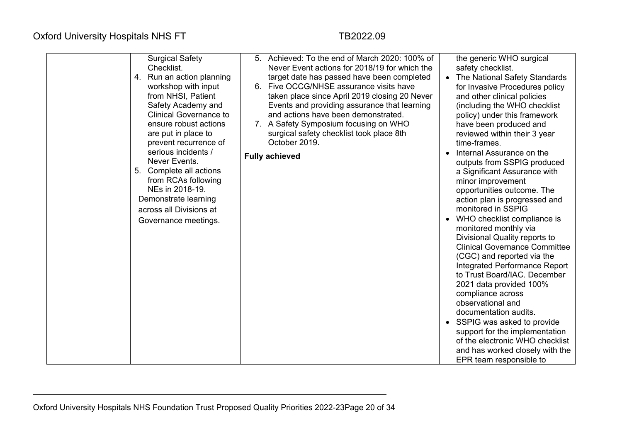| <b>Surgical Safety</b><br>Checklist.<br>4. Run an action planning<br>workshop with input<br>from NHSI, Patient<br>Safety Academy and<br><b>Clinical Governance to</b><br>ensure robust actions<br>are put in place to<br>prevent recurrence of<br>serious incidents /<br>Never Events.<br>5. Complete all actions<br>from RCAs following<br>NEs in 2018-19.<br>Demonstrate learning<br>across all Divisions at<br>Governance meetings. | 5. Achieved: To the end of March 2020: 100% of<br>Never Event actions for 2018/19 for which the<br>target date has passed have been completed<br>6. Five OCCG/NHSE assurance visits have<br>taken place since April 2019 closing 20 Never<br>Events and providing assurance that learning<br>and actions have been demonstrated.<br>7. A Safety Symposium focusing on WHO<br>surgical safety checklist took place 8th<br>October 2019.<br><b>Fully achieved</b> | the generic WHO surgical<br>safety checklist.<br>The National Safety Standards<br>for Invasive Procedures policy<br>and other clinical policies<br>(including the WHO checklist)<br>policy) under this framework<br>have been produced and<br>reviewed within their 3 year<br>time-frames.<br>Internal Assurance on the<br>outputs from SSPIG produced<br>a Significant Assurance with<br>minor improvement<br>opportunities outcome. The<br>action plan is progressed and<br>monitored in SSPIG<br>WHO checklist compliance is<br>monitored monthly via<br>Divisional Quality reports to<br><b>Clinical Governance Committee</b><br>(CGC) and reported via the<br>Integrated Performance Report<br>to Trust Board/IAC. December<br>2021 data provided 100%<br>compliance across<br>observational and<br>documentation audits.<br>SSPIG was asked to provide<br>support for the implementation<br>of the electronic WHO checklist<br>and has worked closely with the<br>EPR team responsible to |
|----------------------------------------------------------------------------------------------------------------------------------------------------------------------------------------------------------------------------------------------------------------------------------------------------------------------------------------------------------------------------------------------------------------------------------------|-----------------------------------------------------------------------------------------------------------------------------------------------------------------------------------------------------------------------------------------------------------------------------------------------------------------------------------------------------------------------------------------------------------------------------------------------------------------|-------------------------------------------------------------------------------------------------------------------------------------------------------------------------------------------------------------------------------------------------------------------------------------------------------------------------------------------------------------------------------------------------------------------------------------------------------------------------------------------------------------------------------------------------------------------------------------------------------------------------------------------------------------------------------------------------------------------------------------------------------------------------------------------------------------------------------------------------------------------------------------------------------------------------------------------------------------------------------------------------|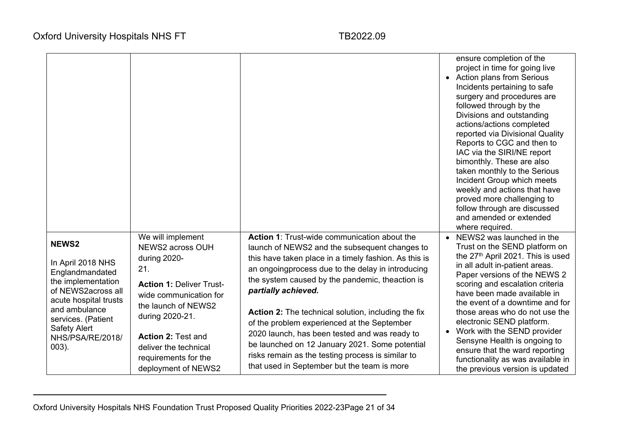|                                                                                                                                                                                                                         |                                                                                                                                                                                                                                                                          |                                                                                                                                                                                                                                                                                                                                                                                                                                                                                                                                                                                                                  | ensure completion of the<br>project in time for going live<br><b>Action plans from Serious</b><br>Incidents pertaining to safe<br>surgery and procedures are<br>followed through by the<br>Divisions and outstanding<br>actions/actions completed<br>reported via Divisional Quality<br>Reports to CGC and then to<br>IAC via the SIRI/NE report<br>bimonthly. These are also<br>taken monthly to the Serious<br>Incident Group which meets<br>weekly and actions that have<br>proved more challenging to<br>follow through are discussed<br>and amended or extended<br>where required. |
|-------------------------------------------------------------------------------------------------------------------------------------------------------------------------------------------------------------------------|--------------------------------------------------------------------------------------------------------------------------------------------------------------------------------------------------------------------------------------------------------------------------|------------------------------------------------------------------------------------------------------------------------------------------------------------------------------------------------------------------------------------------------------------------------------------------------------------------------------------------------------------------------------------------------------------------------------------------------------------------------------------------------------------------------------------------------------------------------------------------------------------------|-----------------------------------------------------------------------------------------------------------------------------------------------------------------------------------------------------------------------------------------------------------------------------------------------------------------------------------------------------------------------------------------------------------------------------------------------------------------------------------------------------------------------------------------------------------------------------------------|
| <b>NEWS2</b><br>In April 2018 NHS<br>Englandmandated<br>the implementation<br>of NEWS2across all<br>acute hospital trusts<br>and ambulance<br>services. (Patient<br><b>Safety Alert</b><br>NHS/PSA/RE/2018/<br>$003$ ). | We will implement<br>NEWS2 across OUH<br>during 2020-<br>21.<br><b>Action 1: Deliver Trust-</b><br>wide communication for<br>the launch of NEWS2<br>during 2020-21.<br><b>Action 2: Test and</b><br>deliver the technical<br>requirements for the<br>deployment of NEWS2 | <b>Action 1: Trust-wide communication about the</b><br>launch of NEWS2 and the subsequent changes to<br>this have taken place in a timely fashion. As this is<br>an ongoingprocess due to the delay in introducing<br>the system caused by the pandemic, theaction is<br>partially achieved.<br><b>Action 2:</b> The technical solution, including the fix<br>of the problem experienced at the September<br>2020 launch, has been tested and was ready to<br>be launched on 12 January 2021. Some potential<br>risks remain as the testing process is similar to<br>that used in September but the team is more | • NEWS2 was launched in the<br>Trust on the SEND platform on<br>the 27 <sup>th</sup> April 2021. This is used<br>in all adult in-patient areas.<br>Paper versions of the NEWS 2<br>scoring and escalation criteria<br>have been made available in<br>the event of a downtime and for<br>those areas who do not use the<br>electronic SEND platform.<br>Work with the SEND provider<br>Sensyne Health is ongoing to<br>ensure that the ward reporting<br>functionality as was available in<br>the previous version is updated                                                            |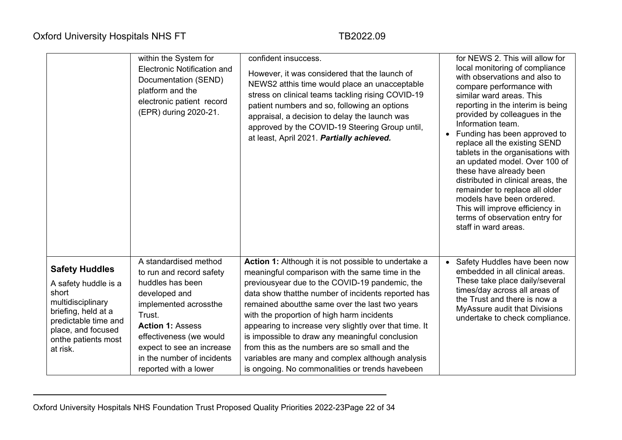|                                                                                                                                                                                     | within the System for<br>Electronic Notification and<br>Documentation (SEND)<br>platform and the<br>electronic patient record<br>(EPR) during 2020-21.                                                                                                              | confident insuccess.<br>However, it was considered that the launch of<br>NEWS2 atthis time would place an unacceptable<br>stress on clinical teams tackling rising COVID-19<br>patient numbers and so, following an options<br>appraisal, a decision to delay the launch was<br>approved by the COVID-19 Steering Group until,<br>at least, April 2021. Partially achieved.                                                                                                                                                                                                            | for NEWS 2. This will allow for<br>local monitoring of compliance<br>with observations and also to<br>compare performance with<br>similar ward areas. This<br>reporting in the interim is being<br>provided by colleagues in the<br>Information team.<br>Funding has been approved to<br>replace all the existing SEND<br>tablets in the organisations with<br>an updated model. Over 100 of<br>these have already been<br>distributed in clinical areas, the<br>remainder to replace all older<br>models have been ordered.<br>This will improve efficiency in<br>terms of observation entry for<br>staff in ward areas. |
|-------------------------------------------------------------------------------------------------------------------------------------------------------------------------------------|---------------------------------------------------------------------------------------------------------------------------------------------------------------------------------------------------------------------------------------------------------------------|----------------------------------------------------------------------------------------------------------------------------------------------------------------------------------------------------------------------------------------------------------------------------------------------------------------------------------------------------------------------------------------------------------------------------------------------------------------------------------------------------------------------------------------------------------------------------------------|---------------------------------------------------------------------------------------------------------------------------------------------------------------------------------------------------------------------------------------------------------------------------------------------------------------------------------------------------------------------------------------------------------------------------------------------------------------------------------------------------------------------------------------------------------------------------------------------------------------------------|
| <b>Safety Huddles</b><br>A safety huddle is a<br>short<br>multidisciplinary<br>briefing, held at a<br>predictable time and<br>place, and focused<br>onthe patients most<br>at risk. | A standardised method<br>to run and record safety<br>huddles has been<br>developed and<br>implemented acrossthe<br>Trust.<br><b>Action 1: Assess</b><br>effectiveness (we would<br>expect to see an increase<br>in the number of incidents<br>reported with a lower | Action 1: Although it is not possible to undertake a<br>meaningful comparison with the same time in the<br>previousyear due to the COVID-19 pandemic, the<br>data show that the number of incidents reported has<br>remained about the same over the last two years<br>with the proportion of high harm incidents<br>appearing to increase very slightly over that time. It<br>is impossible to draw any meaningful conclusion<br>from this as the numbers are so small and the<br>variables are many and complex although analysis<br>is ongoing. No commonalities or trends havebeen | • Safety Huddles have been now<br>embedded in all clinical areas.<br>These take place daily/several<br>times/day across all areas of<br>the Trust and there is now a<br>MyAssure audit that Divisions<br>undertake to check compliance.                                                                                                                                                                                                                                                                                                                                                                                   |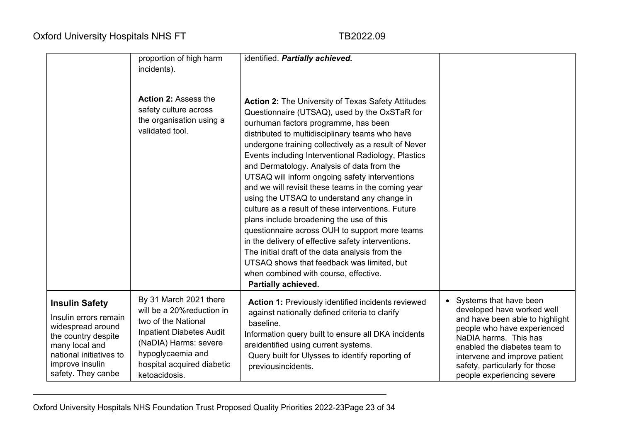|                                                                                                                                                                                  | proportion of high harm<br>incidents).                                                                                                                                                                      | identified. Partially achieved.                                                                                                                                                                                                                                                                                                                                                                                                                                                                                                                                                                                                                                                                                                                                                                                                                                                                      |                                                                                                                                                                                                                                                                                  |
|----------------------------------------------------------------------------------------------------------------------------------------------------------------------------------|-------------------------------------------------------------------------------------------------------------------------------------------------------------------------------------------------------------|------------------------------------------------------------------------------------------------------------------------------------------------------------------------------------------------------------------------------------------------------------------------------------------------------------------------------------------------------------------------------------------------------------------------------------------------------------------------------------------------------------------------------------------------------------------------------------------------------------------------------------------------------------------------------------------------------------------------------------------------------------------------------------------------------------------------------------------------------------------------------------------------------|----------------------------------------------------------------------------------------------------------------------------------------------------------------------------------------------------------------------------------------------------------------------------------|
|                                                                                                                                                                                  | <b>Action 2: Assess the</b><br>safety culture across<br>the organisation using a<br>validated tool.                                                                                                         | <b>Action 2: The University of Texas Safety Attitudes</b><br>Questionnaire (UTSAQ), used by the OxSTaR for<br>ourhuman factors programme, has been<br>distributed to multidisciplinary teams who have<br>undergone training collectively as a result of Never<br>Events including Interventional Radiology, Plastics<br>and Dermatology. Analysis of data from the<br>UTSAQ will inform ongoing safety interventions<br>and we will revisit these teams in the coming year<br>using the UTSAQ to understand any change in<br>culture as a result of these interventions. Future<br>plans include broadening the use of this<br>questionnaire across OUH to support more teams<br>in the delivery of effective safety interventions.<br>The initial draft of the data analysis from the<br>UTSAQ shows that feedback was limited, but<br>when combined with course, effective.<br>Partially achieved. |                                                                                                                                                                                                                                                                                  |
| <b>Insulin Safety</b><br>Insulin errors remain<br>widespread around<br>the country despite<br>many local and<br>national initiatives to<br>improve insulin<br>safety. They canbe | By 31 March 2021 there<br>will be a 20% reduction in<br>two of the National<br><b>Inpatient Diabetes Audit</b><br>(NaDIA) Harms: severe<br>hypoglycaemia and<br>hospital acquired diabetic<br>ketoacidosis. | <b>Action 1: Previously identified incidents reviewed</b><br>against nationally defined criteria to clarify<br>baseline.<br>Information query built to ensure all DKA incidents<br>areidentified using current systems.<br>Query built for Ulysses to identify reporting of<br>previousincidents.                                                                                                                                                                                                                                                                                                                                                                                                                                                                                                                                                                                                    | Systems that have been<br>developed have worked well<br>and have been able to highlight<br>people who have experienced<br>NaDIA harms. This has<br>enabled the diabetes team to<br>intervene and improve patient<br>safety, particularly for those<br>people experiencing severe |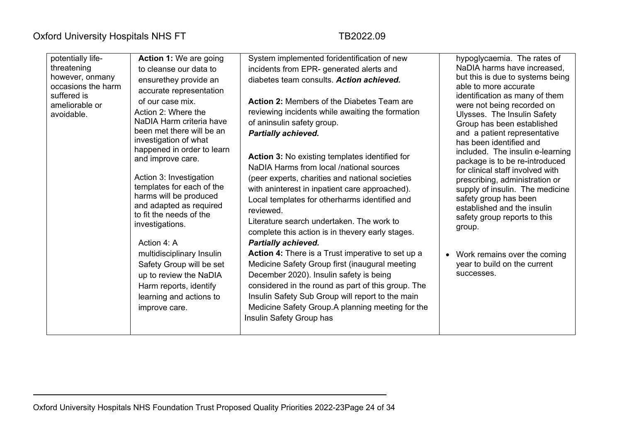| potentially life-<br>threatening<br>however, onmany<br>occasions the harm<br>suffered is<br>ameliorable or<br>avoidable. | <b>Action 1: We are going</b><br>to cleanse our data to<br>ensurethey provide an<br>accurate representation<br>of our case mix.<br>Action 2: Where the<br>NaDIA Harm criteria have<br>been met there will be an<br>investigation of what<br>happened in order to learn<br>and improve care.<br>Action 3: Investigation<br>templates for each of the<br>harms will be produced<br>and adapted as required<br>to fit the needs of the<br>investigations.<br>Action 4: A<br>multidisciplinary Insulin<br>Safety Group will be set<br>up to review the NaDIA<br>Harm reports, identify<br>learning and actions to<br>improve care. | System implemented foridentification of new<br>incidents from EPR- generated alerts and<br>diabetes team consults. Action achieved.<br><b>Action 2: Members of the Diabetes Team are</b><br>reviewing incidents while awaiting the formation<br>of aninsulin safety group.<br><b>Partially achieved.</b><br>Action 3: No existing templates identified for<br>NaDIA Harms from local /national sources<br>(peer experts, charities and national societies<br>with aninterest in inpatient care approached).<br>Local templates for otherharms identified and<br>reviewed.<br>Literature search undertaken. The work to<br>complete this action is in thevery early stages.<br><b>Partially achieved.</b><br><b>Action 4:</b> There is a Trust imperative to set up a<br>Medicine Safety Group first (inaugural meeting<br>December 2020). Insulin safety is being<br>considered in the round as part of this group. The<br>Insulin Safety Sub Group will report to the main<br>Medicine Safety Group.A planning meeting for the<br>Insulin Safety Group has | hypoglycaemia. The rates of<br>NaDIA harms have increased.<br>but this is due to systems being<br>able to more accurate<br>identification as many of them<br>were not being recorded on<br>Ulysses. The Insulin Safety<br>Group has been established<br>and a patient representative<br>has been identified and<br>included. The insulin e-learning<br>package is to be re-introduced<br>for clinical staff involved with<br>prescribing, administration or<br>supply of insulin. The medicine<br>safety group has been<br>established and the insulin<br>safety group reports to this<br>group.<br>Work remains over the coming<br>year to build on the current<br>successes. |
|--------------------------------------------------------------------------------------------------------------------------|--------------------------------------------------------------------------------------------------------------------------------------------------------------------------------------------------------------------------------------------------------------------------------------------------------------------------------------------------------------------------------------------------------------------------------------------------------------------------------------------------------------------------------------------------------------------------------------------------------------------------------|-------------------------------------------------------------------------------------------------------------------------------------------------------------------------------------------------------------------------------------------------------------------------------------------------------------------------------------------------------------------------------------------------------------------------------------------------------------------------------------------------------------------------------------------------------------------------------------------------------------------------------------------------------------------------------------------------------------------------------------------------------------------------------------------------------------------------------------------------------------------------------------------------------------------------------------------------------------------------------------------------------------------------------------------------------------|--------------------------------------------------------------------------------------------------------------------------------------------------------------------------------------------------------------------------------------------------------------------------------------------------------------------------------------------------------------------------------------------------------------------------------------------------------------------------------------------------------------------------------------------------------------------------------------------------------------------------------------------------------------------------------|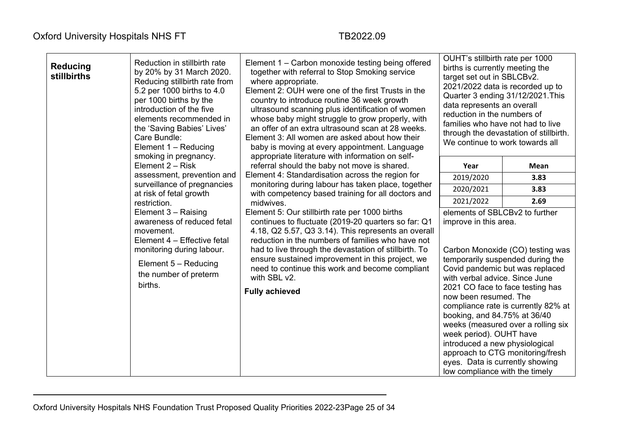| <b>Reducing</b><br>stillbirths | Reduction in stillbirth rate<br>by 20% by 31 March 2020.<br>Reducing stillbirth rate from<br>5.2 per 1000 births to 4.0<br>per 1000 births by the<br>introduction of the five<br>elements recommended in<br>the 'Saving Babies' Lives'<br>Care Bundle:<br>Element 1 - Reducing<br>smoking in pregnancy. | Element 1 – Carbon monoxide testing being offered<br>together with referral to Stop Smoking service<br>where appropriate.<br>Element 2: OUH were one of the first Trusts in the<br>country to introduce routine 36 week growth<br>ultrasound scanning plus identification of women<br>whose baby might struggle to grow properly, with<br>an offer of an extra ultrasound scan at 28 weeks.<br>Element 3: All women are asked about how their<br>baby is moving at every appointment. Language<br>appropriate literature with information on self- | OUHT's stillbirth rate per 1000<br>births is currently meeting the<br>target set out in SBLCBv2.<br>2021/2022 data is recorded up to<br>Quarter 3 ending 31/12/2021. This<br>data represents an overall<br>reduction in the numbers of<br>families who have not had to live<br>through the devastation of stillbirth.<br>We continue to work towards all |                                                                                                                                                                                                                                                              |  |
|--------------------------------|---------------------------------------------------------------------------------------------------------------------------------------------------------------------------------------------------------------------------------------------------------------------------------------------------------|----------------------------------------------------------------------------------------------------------------------------------------------------------------------------------------------------------------------------------------------------------------------------------------------------------------------------------------------------------------------------------------------------------------------------------------------------------------------------------------------------------------------------------------------------|----------------------------------------------------------------------------------------------------------------------------------------------------------------------------------------------------------------------------------------------------------------------------------------------------------------------------------------------------------|--------------------------------------------------------------------------------------------------------------------------------------------------------------------------------------------------------------------------------------------------------------|--|
|                                | Element 2 - Risk                                                                                                                                                                                                                                                                                        | referral should the baby not move is shared.                                                                                                                                                                                                                                                                                                                                                                                                                                                                                                       | Year                                                                                                                                                                                                                                                                                                                                                     | <b>Mean</b>                                                                                                                                                                                                                                                  |  |
|                                | assessment, prevention and                                                                                                                                                                                                                                                                              | Element 4: Standardisation across the region for                                                                                                                                                                                                                                                                                                                                                                                                                                                                                                   | 2019/2020                                                                                                                                                                                                                                                                                                                                                | 3.83                                                                                                                                                                                                                                                         |  |
|                                | surveillance of pregnancies<br>at risk of fetal growth                                                                                                                                                                                                                                                  | monitoring during labour has taken place, together<br>with competency based training for all doctors and                                                                                                                                                                                                                                                                                                                                                                                                                                           | 2020/2021                                                                                                                                                                                                                                                                                                                                                | 3.83                                                                                                                                                                                                                                                         |  |
|                                | restriction.                                                                                                                                                                                                                                                                                            | midwives.                                                                                                                                                                                                                                                                                                                                                                                                                                                                                                                                          | 2021/2022                                                                                                                                                                                                                                                                                                                                                | 2.69                                                                                                                                                                                                                                                         |  |
|                                | Element 3 - Raising<br>awareness of reduced fetal<br>movement.<br>Element 4 - Effective fetal<br>monitoring during labour.<br>Element $5 -$ Reducing<br>the number of preterm<br>births.                                                                                                                | Element 5: Our stillbirth rate per 1000 births<br>continues to fluctuate (2019-20 quarters so far: Q1<br>4.18, Q2 5.57, Q3 3.14). This represents an overall<br>reduction in the numbers of families who have not<br>had to live through the devastation of stillbirth. To<br>ensure sustained improvement in this project, we<br>need to continue this work and become compliant<br>with SBL v2.<br><b>Fully achieved</b>                                                                                                                         | elements of SBLCBv2 to further<br>improve in this area.<br>with verbal advice. Since June<br>now been resumed. The<br>booking, and 84.75% at 36/40<br>week period). OUHT have<br>introduced a new physiological<br>eyes. Data is currently showing<br>low compliance with the timely                                                                     | Carbon Monoxide (CO) testing was<br>temporarily suspended during the<br>Covid pandemic but was replaced<br>2021 CO face to face testing has<br>compliance rate is currently 82% at<br>weeks (measured over a rolling six<br>approach to CTG monitoring/fresh |  |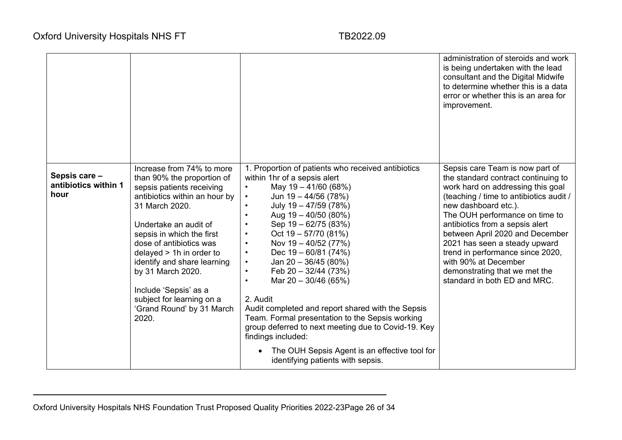|                                               |                                                                                                                                                                                                                                                                                                                                                                                                        |                                                                                                                                                                                                                                                                                                                                                                                                                                                                                                                                                                                                                                                                                                                                                                                                    | administration of steroids and work<br>is being undertaken with the lead<br>consultant and the Digital Midwife<br>to determine whether this is a data<br>error or whether this is an area for<br>improvement.                                                                                                                                                                                                                                        |
|-----------------------------------------------|--------------------------------------------------------------------------------------------------------------------------------------------------------------------------------------------------------------------------------------------------------------------------------------------------------------------------------------------------------------------------------------------------------|----------------------------------------------------------------------------------------------------------------------------------------------------------------------------------------------------------------------------------------------------------------------------------------------------------------------------------------------------------------------------------------------------------------------------------------------------------------------------------------------------------------------------------------------------------------------------------------------------------------------------------------------------------------------------------------------------------------------------------------------------------------------------------------------------|------------------------------------------------------------------------------------------------------------------------------------------------------------------------------------------------------------------------------------------------------------------------------------------------------------------------------------------------------------------------------------------------------------------------------------------------------|
| Sepsis care -<br>antibiotics within 1<br>hour | Increase from 74% to more<br>than 90% the proportion of<br>sepsis patients receiving<br>antibiotics within an hour by<br>31 March 2020.<br>Undertake an audit of<br>sepsis in which the first<br>dose of antibiotics was<br>delayed $> 1h$ in order to<br>identify and share learning<br>by 31 March 2020.<br>Include 'Sepsis' as a<br>subject for learning on a<br>'Grand Round' by 31 March<br>2020. | 1. Proportion of patients who received antibiotics<br>within 1hr of a sepsis alert<br>May 19 - 41/60 (68%)<br>Jun $19 - 44/56$ (78%)<br>$\bullet$<br>July 19 - 47/59 (78%)<br>$\bullet$<br>Aug $19 - 40/50$ (80%)<br>$\bullet$<br>Sep 19 - 62/75 (83%)<br>$\bullet$<br>Oct $19 - 57/70$ (81%)<br>$\bullet$<br>Nov 19 - 40/52 (77%)<br>$\bullet$<br>Dec $19 - 60/81$ (74%)<br>$\bullet$<br>Jan $20 - 36/45$ (80%)<br>$\bullet$<br>Feb $20 - 32/44$ (73%)<br>$\bullet$<br>Mar $20 - 30/46$ (65%)<br>$\bullet$<br>2. Audit<br>Audit completed and report shared with the Sepsis<br>Team. Formal presentation to the Sepsis working<br>group deferred to next meeting due to Covid-19. Key<br>findings included:<br>The OUH Sepsis Agent is an effective tool for<br>identifying patients with sepsis. | Sepsis care Team is now part of<br>the standard contract continuing to<br>work hard on addressing this goal<br>(teaching / time to antibiotics audit /<br>new dashboard etc.).<br>The OUH performance on time to<br>antibiotics from a sepsis alert<br>between April 2020 and December<br>2021 has seen a steady upward<br>trend in performance since 2020,<br>with 90% at December<br>demonstrating that we met the<br>standard in both ED and MRC. |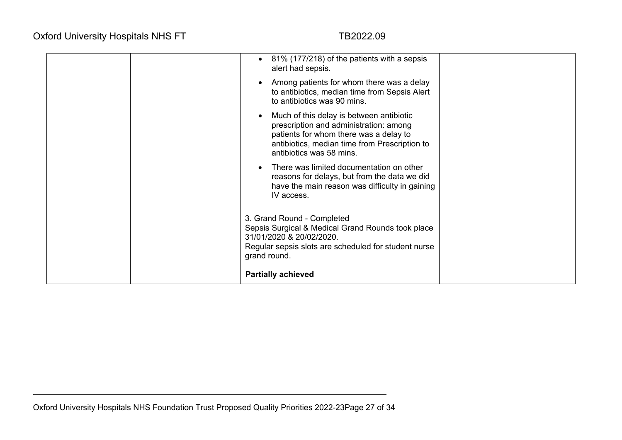|  | 81% (177/218) of the patients with a sepsis<br>alert had sepsis.                                                                                                                                          |  |
|--|-----------------------------------------------------------------------------------------------------------------------------------------------------------------------------------------------------------|--|
|  | Among patients for whom there was a delay<br>to antibiotics, median time from Sepsis Alert<br>to antibiotics was 90 mins.                                                                                 |  |
|  | Much of this delay is between antibiotic<br>prescription and administration: among<br>patients for whom there was a delay to<br>antibiotics, median time from Prescription to<br>antibiotics was 58 mins. |  |
|  | There was limited documentation on other<br>reasons for delays, but from the data we did<br>have the main reason was difficulty in gaining<br>IV access.                                                  |  |
|  | 3. Grand Round - Completed<br>Sepsis Surgical & Medical Grand Rounds took place<br>31/01/2020 & 20/02/2020.<br>Regular sepsis slots are scheduled for student nurse<br>grand round.                       |  |
|  | <b>Partially achieved</b>                                                                                                                                                                                 |  |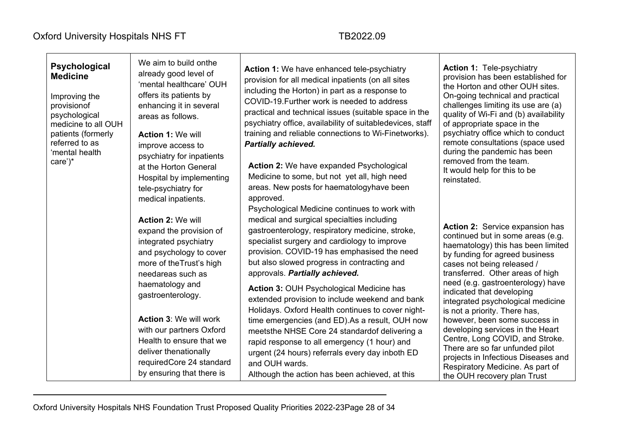| We aim to build onthe<br>Psychological<br>already good level of<br><b>Medicine</b><br>'mental healthcare' OUH<br>offers its patients by<br>Improving the<br>enhancing it in several<br>provisionof<br>psychological<br>areas as follows.<br>medicine to all OUH<br>patients (formerly<br><b>Action 1: We will</b><br>referred to as<br>improve access to<br>'mental health<br>psychiatry for inpatients<br>care')*<br>at the Horton General<br>tele-psychiatry for<br>medical inpatients.<br><b>Action 2: We will</b><br>expand the provision of<br>integrated psychiatry<br>and psychology to cover<br>more of the Trust's high<br>needareas such as<br>haematology and<br>gastroenterology.<br><b>Action 3: We will work</b><br>with our partners Oxford<br>Health to ensure that we<br>deliver thenationally<br>by ensuring that there is | Hospital by implementing | Action 1: We have enhanced tele-psychiatry<br>provision for all medical inpatients (on all sites<br>including the Horton) in part as a response to<br>COVID-19. Further work is needed to address<br>practical and technical issues (suitable space in the<br>psychiatry office, availability of suitabledevices, staff<br>training and reliable connections to Wi-Finetworks).<br><b>Partially achieved.</b><br><b>Action 2: We have expanded Psychological</b><br>Medicine to some, but not yet all, high need<br>areas. New posts for haematologyhave been<br>approved.<br>Psychological Medicine continues to work with<br>medical and surgical specialties including<br>gastroenterology, respiratory medicine, stroke,<br>specialist surgery and cardiology to improve<br>provision. COVID-19 has emphasised the need<br>but also slowed progress in contracting and<br>approvals. Partially achieved.<br><b>Action 3: OUH Psychological Medicine has</b><br>extended provision to include weekend and bank<br>Holidays. Oxford Health continues to cover night-<br>time emergencies (and ED). As a result, OUH now<br>meetsthe NHSE Core 24 standardof delivering a<br>rapid response to all emergency (1 hour) and<br>urgent (24 hours) referrals every day inboth ED<br>and OUH wards. | <b>Action 1: Tele-psychiatry</b><br>provision has been established for<br>the Horton and other OUH sites.<br>On-going technical and practical<br>challenges limiting its use are (a)<br>quality of Wi-Fi and (b) availability<br>of appropriate space in the<br>psychiatry office which to conduct<br>remote consultations (space used<br>during the pandemic has been<br>removed from the team.<br>It would help for this to be<br>reinstated.                                                                                                                                                             |
|----------------------------------------------------------------------------------------------------------------------------------------------------------------------------------------------------------------------------------------------------------------------------------------------------------------------------------------------------------------------------------------------------------------------------------------------------------------------------------------------------------------------------------------------------------------------------------------------------------------------------------------------------------------------------------------------------------------------------------------------------------------------------------------------------------------------------------------------|--------------------------|-------------------------------------------------------------------------------------------------------------------------------------------------------------------------------------------------------------------------------------------------------------------------------------------------------------------------------------------------------------------------------------------------------------------------------------------------------------------------------------------------------------------------------------------------------------------------------------------------------------------------------------------------------------------------------------------------------------------------------------------------------------------------------------------------------------------------------------------------------------------------------------------------------------------------------------------------------------------------------------------------------------------------------------------------------------------------------------------------------------------------------------------------------------------------------------------------------------------------------------------------------------------------------------------------|-------------------------------------------------------------------------------------------------------------------------------------------------------------------------------------------------------------------------------------------------------------------------------------------------------------------------------------------------------------------------------------------------------------------------------------------------------------------------------------------------------------------------------------------------------------------------------------------------------------|
|                                                                                                                                                                                                                                                                                                                                                                                                                                                                                                                                                                                                                                                                                                                                                                                                                                              | requiredCore 24 standard |                                                                                                                                                                                                                                                                                                                                                                                                                                                                                                                                                                                                                                                                                                                                                                                                                                                                                                                                                                                                                                                                                                                                                                                                                                                                                                 | Action 2: Service expansion has<br>continued but in some areas (e.g.<br>haematology) this has been limited<br>by funding for agreed business<br>cases not being released /<br>transferred. Other areas of high<br>need (e.g. gastroenterology) have<br>indicated that developing<br>integrated psychological medicine<br>is not a priority. There has,<br>however, been some success in<br>developing services in the Heart<br>Centre, Long COVID, and Stroke.<br>There are so far unfunded pilot<br>projects in Infectious Diseases and<br>Respiratory Medicine. As part of<br>the OUH recovery plan Trust |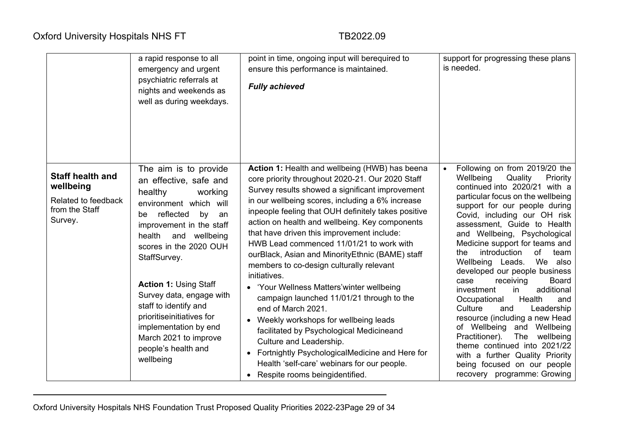|                                                                                          | a rapid response to all<br>emergency and urgent<br>psychiatric referrals at<br>nights and weekends as<br>well as during weekdays.                                                                                                                                                                                                                                                                                                       | point in time, ongoing input will berequired to<br>ensure this performance is maintained.<br><b>Fully achieved</b>                                                                                                                                                                                                                                                                                                                                                                                                                                                                                                                                                                                                                                                                                                                                                                             | support for progressing these plans<br>is needed.                                                                                                                                                                                                                                                                                                                                                                                                                                                                                                                                                                                                                                                                                                                                             |
|------------------------------------------------------------------------------------------|-----------------------------------------------------------------------------------------------------------------------------------------------------------------------------------------------------------------------------------------------------------------------------------------------------------------------------------------------------------------------------------------------------------------------------------------|------------------------------------------------------------------------------------------------------------------------------------------------------------------------------------------------------------------------------------------------------------------------------------------------------------------------------------------------------------------------------------------------------------------------------------------------------------------------------------------------------------------------------------------------------------------------------------------------------------------------------------------------------------------------------------------------------------------------------------------------------------------------------------------------------------------------------------------------------------------------------------------------|-----------------------------------------------------------------------------------------------------------------------------------------------------------------------------------------------------------------------------------------------------------------------------------------------------------------------------------------------------------------------------------------------------------------------------------------------------------------------------------------------------------------------------------------------------------------------------------------------------------------------------------------------------------------------------------------------------------------------------------------------------------------------------------------------|
| <b>Staff health and</b><br>wellbeing<br>Related to feedback<br>from the Staff<br>Survey. | The aim is to provide<br>an effective, safe and<br>healthy<br>working<br>environment which will<br>reflected<br>by<br>be<br>an<br>improvement in the staff<br>health<br>and wellbeing<br>scores in the 2020 OUH<br>StaffSurvey.<br><b>Action 1: Using Staff</b><br>Survey data, engage with<br>staff to identify and<br>prioritiseinitiatives for<br>implementation by end<br>March 2021 to improve<br>people's health and<br>wellbeing | Action 1: Health and wellbeing (HWB) has beena<br>core priority throughout 2020-21. Our 2020 Staff<br>Survey results showed a significant improvement<br>in our wellbeing scores, including a 6% increase<br>inpeople feeling that OUH definitely takes positive<br>action on health and wellbeing. Key components<br>that have driven this improvement include:<br>HWB Lead commenced 11/01/21 to work with<br>ourBlack, Asian and MinorityEthnic (BAME) staff<br>members to co-design culturally relevant<br>initiatives.<br>• 'Your Wellness Matters' winter wellbeing<br>campaign launched 11/01/21 through to the<br>end of March 2021.<br>Weekly workshops for wellbeing leads<br>facilitated by Psychological Medicineand<br>Culture and Leadership.<br>Fortnightly PsychologicalMedicine and Here for<br>Health 'self-care' webinars for our people.<br>Respite rooms beingidentified. | Following on from 2019/20 the<br>Wellbeing<br>Quality<br>Priority<br>continued into 2020/21 with a<br>particular focus on the wellbeing<br>support for our people during<br>Covid, including our OH risk<br>assessment, Guide to Health<br>and Wellbeing, Psychological<br>Medicine support for teams and<br>introduction<br>of<br>the<br>team<br>Wellbeing Leads.<br>We also<br>developed our people business<br>receiving<br><b>Board</b><br>case<br>additional<br>investment<br>in<br>Occupational<br>Health<br>and<br>Culture<br>Leadership<br>and<br>resource (including a new Head<br>of Wellbeing and Wellbeing<br>Practitioner).<br>The<br>wellbeing<br>theme continued into 2021/22<br>with a further Quality Priority<br>being focused on our people<br>recovery programme: Growing |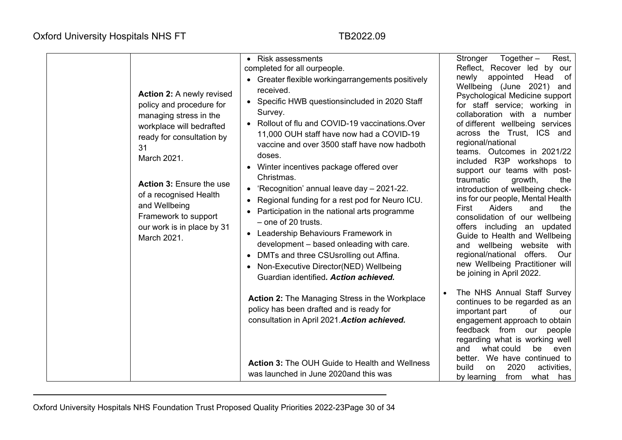| <b>Action 2:</b> A newly revised<br>policy and procedure for<br>managing stress in the<br>workplace will bedrafted<br>ready for consultation by<br>31<br>March 2021.<br><b>Action 3: Ensure the use</b><br>of a recognised Health<br>and Wellbeing<br>Framework to support<br>our work is in place by 31<br>March 2021. | <b>Risk assessments</b><br>completed for all ourpeople.<br>• Greater flexible workingarrangements positively<br>received.<br>• Specific HWB questionsincluded in 2020 Staff<br>Survey.<br>Rollout of flu and COVID-19 vaccinations. Over<br>11,000 OUH staff have now had a COVID-19<br>vaccine and over 3500 staff have now hadboth<br>doses.<br>Winter incentives package offered over<br>Christmas.<br>'Recognition' annual leave day - 2021-22.<br>Regional funding for a rest pod for Neuro ICU.<br>$\bullet$<br>Participation in the national arts programme<br>- one of 20 trusts.<br>Leadership Behaviours Framework in<br>development - based onleading with care.<br>DMTs and three CSUsrolling out Affina.<br>$\bullet$<br>Non-Executive Director(NED) Wellbeing<br>Guardian identified. Action achieved. | $Together -$<br>Rest,<br>Stronger<br>Reflect, Recover led by our<br>appointed Head of<br>newly<br>Wellbeing (June 2021) and<br>Psychological Medicine support<br>for staff service; working in<br>collaboration with a number<br>of different wellbeing services<br>across the Trust, ICS and<br>regional/national<br>teams. Outcomes in 2021/22<br>included R3P workshops to<br>support our teams with post-<br>traumatic<br>growth,<br>the<br>introduction of wellbeing check-<br>ins for our people, Mental Health<br>First<br>Aiders<br>and<br>the<br>consolidation of our wellbeing<br>offers including an updated<br>Guide to Health and Wellbeing<br>and wellbeing website<br>with<br>regional/national offers.<br>Our<br>new Wellbeing Practitioner will<br>be joining in April 2022. |
|-------------------------------------------------------------------------------------------------------------------------------------------------------------------------------------------------------------------------------------------------------------------------------------------------------------------------|----------------------------------------------------------------------------------------------------------------------------------------------------------------------------------------------------------------------------------------------------------------------------------------------------------------------------------------------------------------------------------------------------------------------------------------------------------------------------------------------------------------------------------------------------------------------------------------------------------------------------------------------------------------------------------------------------------------------------------------------------------------------------------------------------------------------|-----------------------------------------------------------------------------------------------------------------------------------------------------------------------------------------------------------------------------------------------------------------------------------------------------------------------------------------------------------------------------------------------------------------------------------------------------------------------------------------------------------------------------------------------------------------------------------------------------------------------------------------------------------------------------------------------------------------------------------------------------------------------------------------------|
|                                                                                                                                                                                                                                                                                                                         | <b>Action 2: The Managing Stress in the Workplace</b><br>policy has been drafted and is ready for<br>consultation in April 2021. Action achieved.                                                                                                                                                                                                                                                                                                                                                                                                                                                                                                                                                                                                                                                                    | The NHS Annual Staff Survey<br>continues to be regarded as an<br>important part<br>of<br>our<br>engagement approach to obtain<br>feedback from<br>our<br>people<br>regarding what is working well                                                                                                                                                                                                                                                                                                                                                                                                                                                                                                                                                                                             |
|                                                                                                                                                                                                                                                                                                                         | <b>Action 3: The OUH Guide to Health and Wellness</b><br>was launched in June 2020 and this was                                                                                                                                                                                                                                                                                                                                                                                                                                                                                                                                                                                                                                                                                                                      | what could<br>and<br>be<br>even<br>better. We have continued to<br>build<br>2020<br>activities,<br><b>on</b><br>by learning<br>from<br>what has                                                                                                                                                                                                                                                                                                                                                                                                                                                                                                                                                                                                                                               |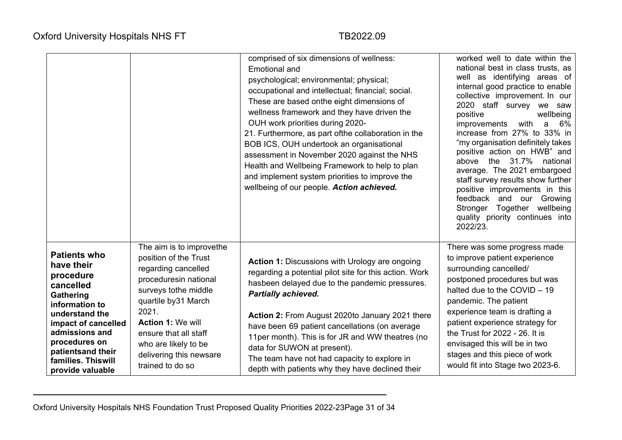|                                                                                                                                                                                                                                       |                                                                                                                                                                                                                                                                                        | comprised of six dimensions of wellness:<br><b>Emotional and</b><br>psychological; environmental; physical;<br>occupational and intellectual; financial; social.<br>These are based onthe eight dimensions of<br>wellness framework and they have driven the<br>OUH work priorities during 2020-<br>21. Furthermore, as part of the collaboration in the<br>BOB ICS, OUH undertook an organisational<br>assessment in November 2020 against the NHS<br>Health and Wellbeing Framework to help to plan<br>and implement system priorities to improve the<br>wellbeing of our people. Action achieved. | worked well to date within the<br>national best in class trusts, as<br>well as identifying areas of<br>internal good practice to enable<br>collective improvement. In our<br>2020 staff survey we saw<br>positive<br>wellbeing<br>with<br>improvements<br>a 6%<br>increase from 27% to 33% in<br>"my organisation definitely takes<br>positive action on HWB" and<br>the 31.7% national<br>above<br>average. The 2021 embargoed<br>staff survey results show further<br>positive improvements in this<br>feedback and our Growing<br>Stronger Together wellbeing<br>quality priority continues into<br>2022/23. |
|---------------------------------------------------------------------------------------------------------------------------------------------------------------------------------------------------------------------------------------|----------------------------------------------------------------------------------------------------------------------------------------------------------------------------------------------------------------------------------------------------------------------------------------|------------------------------------------------------------------------------------------------------------------------------------------------------------------------------------------------------------------------------------------------------------------------------------------------------------------------------------------------------------------------------------------------------------------------------------------------------------------------------------------------------------------------------------------------------------------------------------------------------|-----------------------------------------------------------------------------------------------------------------------------------------------------------------------------------------------------------------------------------------------------------------------------------------------------------------------------------------------------------------------------------------------------------------------------------------------------------------------------------------------------------------------------------------------------------------------------------------------------------------|
| <b>Patients who</b><br>have their<br>procedure<br>cancelled<br>Gathering<br>information to<br>understand the<br>impact of cancelled<br>admissions and<br>procedures on<br>patientsand their<br>families. Thiswill<br>provide valuable | The aim is to improvethe<br>position of the Trust<br>regarding cancelled<br>proceduresin national<br>surveys tothe middle<br>quartile by 31 March<br>2021.<br><b>Action 1: We will</b><br>ensure that all staff<br>who are likely to be<br>delivering this newsare<br>trained to do so | <b>Action 1: Discussions with Urology are ongoing</b><br>regarding a potential pilot site for this action. Work<br>hasbeen delayed due to the pandemic pressures.<br><b>Partially achieved.</b><br>Action 2: From August 2020to January 2021 there<br>have been 69 patient cancellations (on average<br>11per month). This is for JR and WW theatres (no<br>data for SUWON at present).<br>The team have not had capacity to explore in<br>depth with patients why they have declined their                                                                                                          | There was some progress made<br>to improve patient experience<br>surrounding cancelled/<br>postponed procedures but was<br>halted due to the COVID - 19<br>pandemic. The patient<br>experience team is drafting a<br>patient experience strategy for<br>the Trust for 2022 - 26. It is<br>envisaged this will be in two<br>stages and this piece of work<br>would fit into Stage two 2023-6.                                                                                                                                                                                                                    |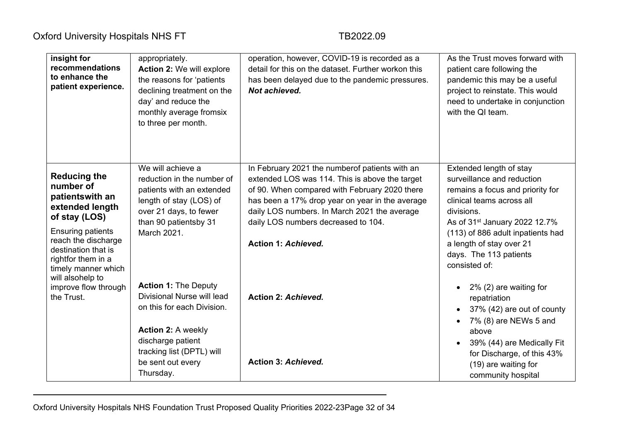| insight for<br>recommendations<br>to enhance the<br>patient experience.                                                                                                                                                            | appropriately.<br>Action 2: We will explore<br>the reasons for 'patients<br>declining treatment on the<br>day' and reduce the<br>monthly average fromsix<br>to three per month.                          | operation, however, COVID-19 is recorded as a<br>detail for this on the dataset. Further workon this<br>has been delayed due to the pandemic pressures.<br>Not achieved.                                                                                                                                            | As the Trust moves forward with<br>patient care following the<br>pandemic this may be a useful<br>project to reinstate. This would<br>need to undertake in conjunction<br>with the QI team.                                                                                                   |
|------------------------------------------------------------------------------------------------------------------------------------------------------------------------------------------------------------------------------------|----------------------------------------------------------------------------------------------------------------------------------------------------------------------------------------------------------|---------------------------------------------------------------------------------------------------------------------------------------------------------------------------------------------------------------------------------------------------------------------------------------------------------------------|-----------------------------------------------------------------------------------------------------------------------------------------------------------------------------------------------------------------------------------------------------------------------------------------------|
| <b>Reducing the</b><br>number of<br>patientswith an<br>extended length<br>of stay (LOS)<br><b>Ensuring patients</b><br>reach the discharge<br>destination that is<br>rightfor them in a<br>timely manner which<br>will alsohelp to | We will achieve a<br>reduction in the number of<br>patients with an extended<br>length of stay (LOS) of<br>over 21 days, to fewer<br>than 90 patientsby 31<br>March 2021.                                | In February 2021 the number of patients with an<br>extended LOS was 114. This is above the target<br>of 90. When compared with February 2020 there<br>has been a 17% drop year on year in the average<br>daily LOS numbers. In March 2021 the average<br>daily LOS numbers decreased to 104.<br>Action 1: Achieved. | Extended length of stay<br>surveillance and reduction<br>remains a focus and priority for<br>clinical teams across all<br>divisions.<br>As of 31 <sup>st</sup> January 2022 12.7%<br>(113) of 886 adult inpatients had<br>a length of stay over 21<br>days. The 113 patients<br>consisted of: |
| improve flow through<br>the Trust.                                                                                                                                                                                                 | <b>Action 1: The Deputy</b><br>Divisional Nurse will lead<br>on this for each Division.<br><b>Action 2: A weekly</b><br>discharge patient<br>tracking list (DPTL) will<br>be sent out every<br>Thursday. | <b>Action 2: Achieved.</b><br><b>Action 3: Achieved.</b>                                                                                                                                                                                                                                                            | $2\%$ (2) are waiting for<br>$\bullet$<br>repatriation<br>37% (42) are out of county<br>$\bullet$<br>7% (8) are NEWs 5 and<br>above<br>39% (44) are Medically Fit<br>for Discharge, of this 43%<br>(19) are waiting for<br>community hospital                                                 |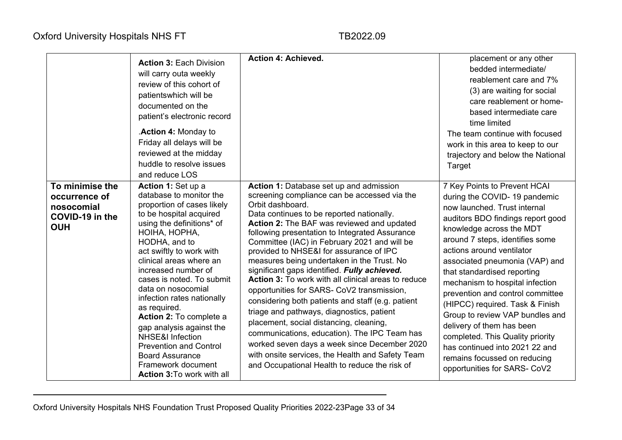|                                                                                 | <b>Action 3: Each Division</b><br>will carry outa weekly<br>review of this cohort of<br>patientswhich will be<br>documented on the<br>patient's electronic record<br>.Action 4: Monday to<br>Friday all delays will be<br>reviewed at the midday<br>huddle to resolve issues<br>and reduce LOS                                                                                                                                                                                                                                                                   | <b>Action 4: Achieved.</b>                                                                                                                                                                                                                                                                                                                                                                                                                                                                                                                                                                                                                                                                                                                                                                                                                                                                                      | placement or any other<br>bedded intermediate/<br>reablement care and 7%<br>(3) are waiting for social<br>care reablement or home-<br>based intermediate care<br>time limited<br>The team continue with focused<br>work in this area to keep to our<br>trajectory and below the National<br>Target                                                                                                                                                                                                                                                                                                             |
|---------------------------------------------------------------------------------|------------------------------------------------------------------------------------------------------------------------------------------------------------------------------------------------------------------------------------------------------------------------------------------------------------------------------------------------------------------------------------------------------------------------------------------------------------------------------------------------------------------------------------------------------------------|-----------------------------------------------------------------------------------------------------------------------------------------------------------------------------------------------------------------------------------------------------------------------------------------------------------------------------------------------------------------------------------------------------------------------------------------------------------------------------------------------------------------------------------------------------------------------------------------------------------------------------------------------------------------------------------------------------------------------------------------------------------------------------------------------------------------------------------------------------------------------------------------------------------------|----------------------------------------------------------------------------------------------------------------------------------------------------------------------------------------------------------------------------------------------------------------------------------------------------------------------------------------------------------------------------------------------------------------------------------------------------------------------------------------------------------------------------------------------------------------------------------------------------------------|
| To minimise the<br>occurrence of<br>nosocomial<br>COVID-19 in the<br><b>OUH</b> | Action 1: Set up a<br>database to monitor the<br>proportion of cases likely<br>to be hospital acquired<br>using the definitions* of<br>HOIHA, HOPHA,<br>HODHA, and to<br>act swiftly to work with<br>clinical areas where an<br>increased number of<br>cases is noted. To submit<br>data on nosocomial<br>infection rates nationally<br>as required.<br>Action 2: To complete a<br>gap analysis against the<br><b>NHSE&amp;I Infection</b><br><b>Prevention and Control</b><br><b>Board Assurance</b><br>Framework document<br><b>Action 3: To work with all</b> | Action 1: Database set up and admission<br>screening compliance can be accessed via the<br>Orbit dashboard.<br>Data continues to be reported nationally.<br>Action 2: The BAF was reviewed and updated<br>following presentation to Integrated Assurance<br>Committee (IAC) in February 2021 and will be<br>provided to NHSE&I for assurance of IPC<br>measures being undertaken in the Trust. No<br>significant gaps identified. Fully achieved.<br><b>Action 3:</b> To work with all clinical areas to reduce<br>opportunities for SARS- CoV2 transmission,<br>considering both patients and staff (e.g. patient<br>triage and pathways, diagnostics, patient<br>placement, social distancing, cleaning,<br>communications, education). The IPC Team has<br>worked seven days a week since December 2020<br>with onsite services, the Health and Safety Team<br>and Occupational Health to reduce the risk of | 7 Key Points to Prevent HCAI<br>during the COVID-19 pandemic<br>now launched. Trust internal<br>auditors BDO findings report good<br>knowledge across the MDT<br>around 7 steps, identifies some<br>actions around ventilator<br>associated pneumonia (VAP) and<br>that standardised reporting<br>mechanism to hospital infection<br>prevention and control committee<br>(HIPCC) required. Task & Finish<br>Group to review VAP bundles and<br>delivery of them has been<br>completed. This Quality priority<br>has continued into 2021 22 and<br>remains focussed on reducing<br>opportunities for SARS- CoV2 |